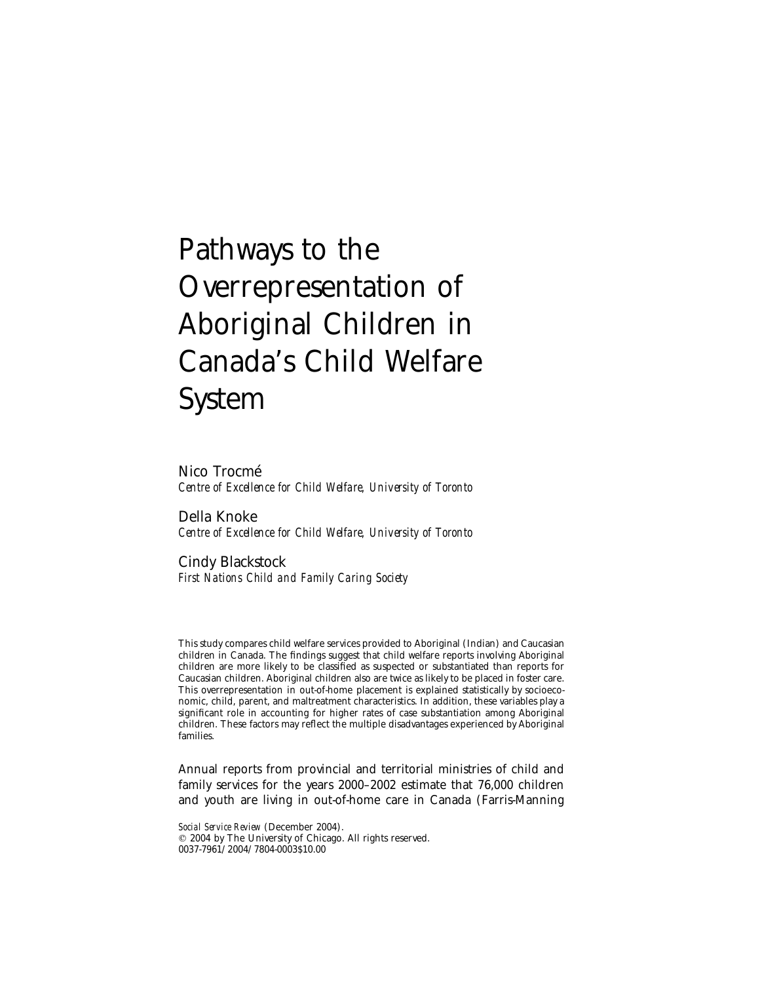# Pathways to the Overrepresentation of Aboriginal Children in Canada's Child Welfare System

Nico Trocme´ *Centre of Excellence for Child Welfare, University of Toronto*

Della Knoke *Centre of Excellence for Child Welfare, University of Toronto*

Cindy Blackstock *First Nations Child and Family Caring Society*

This study compares child welfare services provided to Aboriginal (Indian) and Caucasian children in Canada. The findings suggest that child welfare reports involving Aboriginal children are more likely to be classified as suspected or substantiated than reports for Caucasian children. Aboriginal children also are twice as likely to be placed in foster care. This overrepresentation in out-of-home placement is explained statistically by socioeconomic, child, parent, and maltreatment characteristics. In addition, these variables play a significant role in accounting for higher rates of case substantiation among Aboriginal children. These factors may reflect the multiple disadvantages experienced by Aboriginal families.

Annual reports from provincial and territorial ministries of child and family services for the years 2000–2002 estimate that 76,000 children and youth are living in out-of-home care in Canada (Farris-Manning

*Social Service Review* (December 2004). 2004 by The University of Chicago. All rights reserved. 0037-7961/2004/7804-0003\$10.00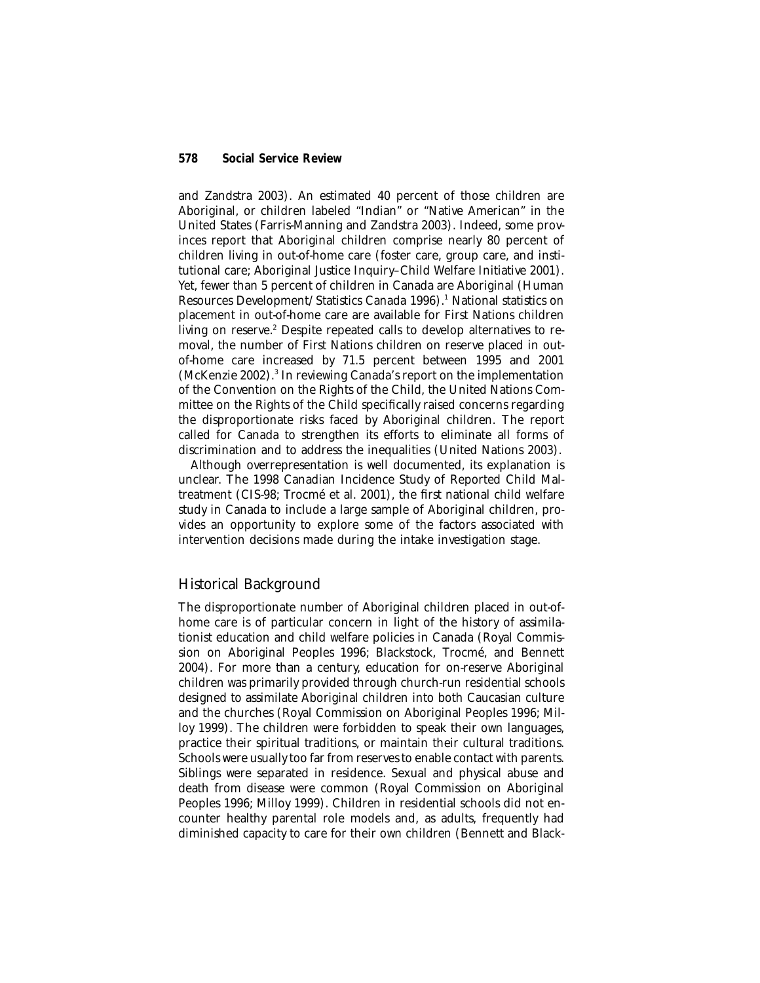and Zandstra 2003). An estimated 40 percent of those children are Aboriginal, or children labeled "Indian" or "Native American" in the United States (Farris-Manning and Zandstra 2003). Indeed, some provinces report that Aboriginal children comprise nearly 80 percent of children living in out-of-home care (foster care, group care, and institutional care; Aboriginal Justice Inquiry–Child Welfare Initiative 2001). Yet, fewer than 5 percent of children in Canada are Aboriginal (Human Resources Development/Statistics Canada 1996).<sup>1</sup> National statistics on placement in out-of-home care are available for First Nations children living on reserve.<sup>2</sup> Despite repeated calls to develop alternatives to removal, the number of First Nations children on reserve placed in outof-home care increased by 71.5 percent between 1995 and 2001 (McKenzie 2002).<sup>3</sup> In reviewing Canada's report on the implementation of the Convention on the Rights of the Child, the United Nations Committee on the Rights of the Child specifically raised concerns regarding the disproportionate risks faced by Aboriginal children. The report called for Canada to strengthen its efforts to eliminate all forms of discrimination and to address the inequalities (United Nations 2003).

Although overrepresentation is well documented, its explanation is unclear. The 1998 Canadian Incidence Study of Reported Child Maltreatment (CIS-98; Trocmé et al. 2001), the first national child welfare study in Canada to include a large sample of Aboriginal children, provides an opportunity to explore some of the factors associated with intervention decisions made during the intake investigation stage.

#### Historical Background

The disproportionate number of Aboriginal children placed in out-ofhome care is of particular concern in light of the history of assimilationist education and child welfare policies in Canada (Royal Commission on Aboriginal Peoples 1996; Blackstock, Trocmé, and Bennett 2004). For more than a century, education for on-reserve Aboriginal children was primarily provided through church-run residential schools designed to assimilate Aboriginal children into both Caucasian culture and the churches (Royal Commission on Aboriginal Peoples 1996; Milloy 1999). The children were forbidden to speak their own languages, practice their spiritual traditions, or maintain their cultural traditions. Schools were usually too far from reserves to enable contact with parents. Siblings were separated in residence. Sexual and physical abuse and death from disease were common (Royal Commission on Aboriginal Peoples 1996; Milloy 1999). Children in residential schools did not encounter healthy parental role models and, as adults, frequently had diminished capacity to care for their own children (Bennett and Black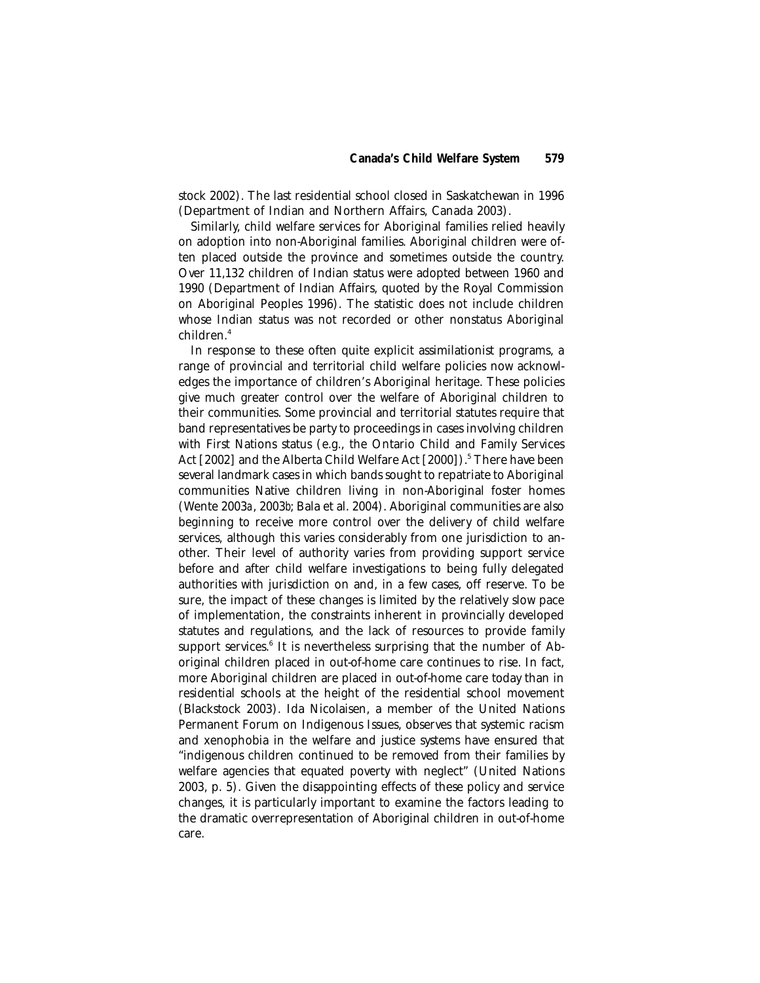stock 2002). The last residential school closed in Saskatchewan in 1996 (Department of Indian and Northern Affairs, Canada 2003).

Similarly, child welfare services for Aboriginal families relied heavily on adoption into non-Aboriginal families. Aboriginal children were often placed outside the province and sometimes outside the country. Over 11,132 children of Indian status were adopted between 1960 and 1990 (Department of Indian Affairs, quoted by the Royal Commission on Aboriginal Peoples 1996). The statistic does not include children whose Indian status was not recorded or other nonstatus Aboriginal children.4

In response to these often quite explicit assimilationist programs, a range of provincial and territorial child welfare policies now acknowledges the importance of children's Aboriginal heritage. These policies give much greater control over the welfare of Aboriginal children to their communities. Some provincial and territorial statutes require that band representatives be party to proceedings in cases involving children with First Nations status (e.g., the Ontario Child and Family Services Act [2002] and the Alberta Child Welfare Act [2000]).<sup>5</sup> There have been several landmark cases in which bands sought to repatriate to Aboriginal communities Native children living in non-Aboriginal foster homes (Wente 2003*a*, 2003*b*; Bala et al. 2004). Aboriginal communities are also beginning to receive more control over the delivery of child welfare services, although this varies considerably from one jurisdiction to another. Their level of authority varies from providing support service before and after child welfare investigations to being fully delegated authorities with jurisdiction on and, in a few cases, off reserve. To be sure, the impact of these changes is limited by the relatively slow pace of implementation, the constraints inherent in provincially developed statutes and regulations, and the lack of resources to provide family support services.<sup>6</sup> It is nevertheless surprising that the number of Aboriginal children placed in out-of-home care continues to rise. In fact, more Aboriginal children are placed in out-of-home care today than in residential schools at the height of the residential school movement (Blackstock 2003). Ida Nicolaisen, a member of the United Nations Permanent Forum on Indigenous Issues, observes that systemic racism and xenophobia in the welfare and justice systems have ensured that "indigenous children continued to be removed from their families by welfare agencies that equated poverty with neglect" (United Nations 2003, p. 5). Given the disappointing effects of these policy and service changes, it is particularly important to examine the factors leading to the dramatic overrepresentation of Aboriginal children in out-of-home care.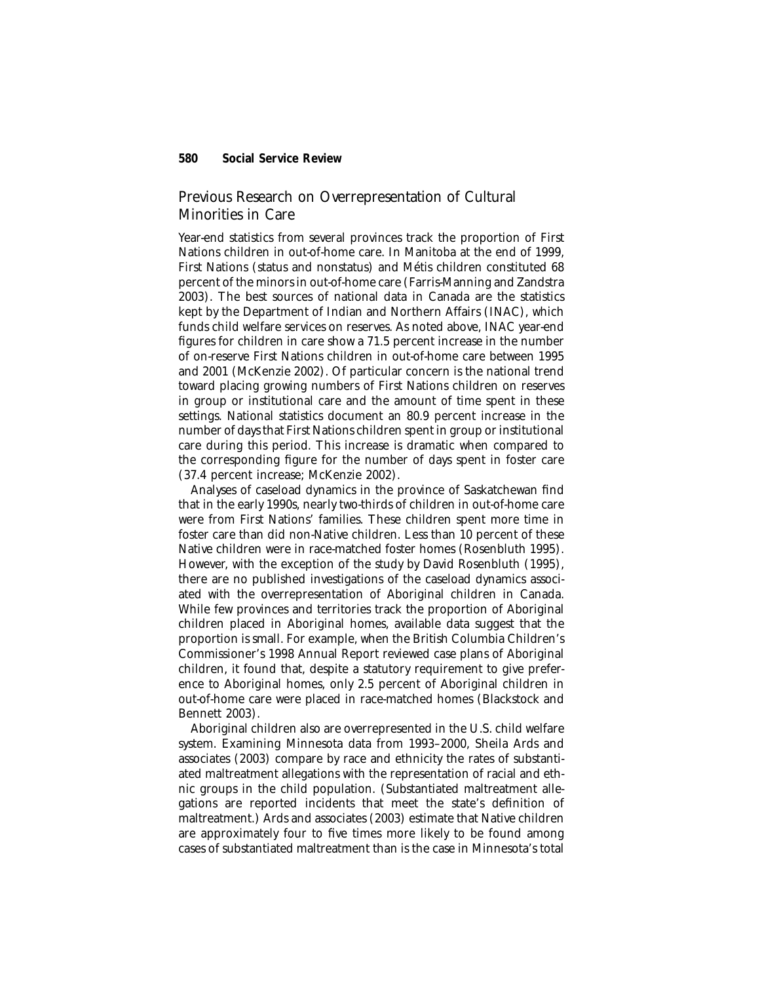# Previous Research on Overrepresentation of Cultural Minorities in Care

Year-end statistics from several provinces track the proportion of First Nations children in out-of-home care. In Manitoba at the end of 1999, First Nations (status and nonstatus) and Métis children constituted 68 percent of the minors in out-of-home care (Farris-Manning and Zandstra 2003). The best sources of national data in Canada are the statistics kept by the Department of Indian and Northern Affairs (INAC), which funds child welfare services on reserves. As noted above, INAC year-end figures for children in care show a 71.5 percent increase in the number of on-reserve First Nations children in out-of-home care between 1995 and 2001 (McKenzie 2002). Of particular concern is the national trend toward placing growing numbers of First Nations children on reserves in group or institutional care and the amount of time spent in these settings. National statistics document an 80.9 percent increase in the number of days that First Nations children spent in group or institutional care during this period. This increase is dramatic when compared to the corresponding figure for the number of days spent in foster care (37.4 percent increase; McKenzie 2002).

Analyses of caseload dynamics in the province of Saskatchewan find that in the early 1990s, nearly two-thirds of children in out-of-home care were from First Nations' families. These children spent more time in foster care than did non-Native children. Less than 10 percent of these Native children were in race-matched foster homes (Rosenbluth 1995). However, with the exception of the study by David Rosenbluth (1995), there are no published investigations of the caseload dynamics associated with the overrepresentation of Aboriginal children in Canada. While few provinces and territories track the proportion of Aboriginal children placed in Aboriginal homes, available data suggest that the proportion is small. For example, when the British Columbia Children's Commissioner's 1998 Annual Report reviewed case plans of Aboriginal children, it found that, despite a statutory requirement to give preference to Aboriginal homes, only 2.5 percent of Aboriginal children in out-of-home care were placed in race-matched homes (Blackstock and Bennett 2003).

Aboriginal children also are overrepresented in the U.S. child welfare system. Examining Minnesota data from 1993–2000, Sheila Ards and associates (2003) compare by race and ethnicity the rates of substantiated maltreatment allegations with the representation of racial and ethnic groups in the child population. (Substantiated maltreatment allegations are reported incidents that meet the state's definition of maltreatment.) Ards and associates (2003) estimate that Native children are approximately four to five times more likely to be found among cases of substantiated maltreatment than is the case in Minnesota's total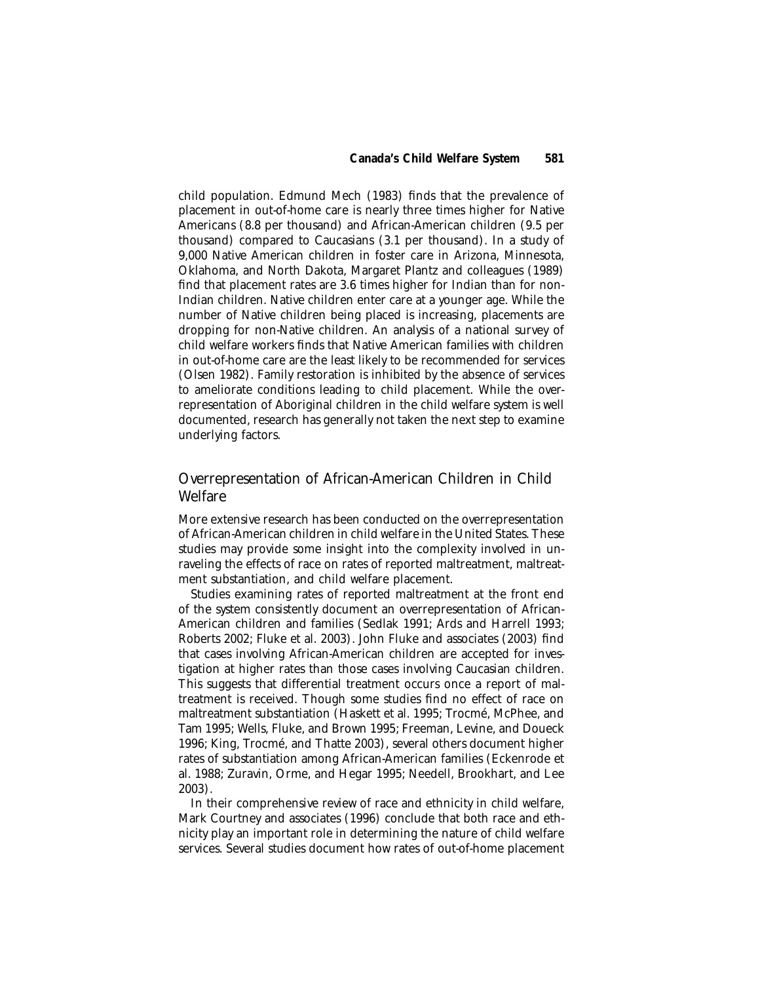child population. Edmund Mech (1983) finds that the prevalence of placement in out-of-home care is nearly three times higher for Native Americans (8.8 per thousand) and African-American children (9.5 per thousand) compared to Caucasians (3.1 per thousand). In a study of 9,000 Native American children in foster care in Arizona, Minnesota, Oklahoma, and North Dakota, Margaret Plantz and colleagues (1989) find that placement rates are 3.6 times higher for Indian than for non-Indian children. Native children enter care at a younger age. While the number of Native children being placed is increasing, placements are dropping for non-Native children. An analysis of a national survey of child welfare workers finds that Native American families with children in out-of-home care are the least likely to be recommended for services (Olsen 1982). Family restoration is inhibited by the absence of services to ameliorate conditions leading to child placement. While the overrepresentation of Aboriginal children in the child welfare system is well documented, research has generally not taken the next step to examine underlying factors.

# Overrepresentation of African-American Children in Child Welfare

More extensive research has been conducted on the overrepresentation of African-American children in child welfare in the United States. These studies may provide some insight into the complexity involved in unraveling the effects of race on rates of reported maltreatment, maltreatment substantiation, and child welfare placement.

Studies examining rates of reported maltreatment at the front end of the system consistently document an overrepresentation of African-American children and families (Sedlak 1991; Ards and Harrell 1993; Roberts 2002; Fluke et al. 2003). John Fluke and associates (2003) find that cases involving African-American children are accepted for investigation at higher rates than those cases involving Caucasian children. This suggests that differential treatment occurs once a report of maltreatment is received. Though some studies find no effect of race on maltreatment substantiation (Haskett et al. 1995; Trocmé, McPhee, and Tam 1995; Wells, Fluke, and Brown 1995; Freeman, Levine, and Doueck 1996; King, Trocmé, and Thatte 2003), several others document higher rates of substantiation among African-American families (Eckenrode et al. 1988; Zuravin, Orme, and Hegar 1995; Needell, Brookhart, and Lee 2003).

In their comprehensive review of race and ethnicity in child welfare, Mark Courtney and associates (1996) conclude that both race and ethnicity play an important role in determining the nature of child welfare services. Several studies document how rates of out-of-home placement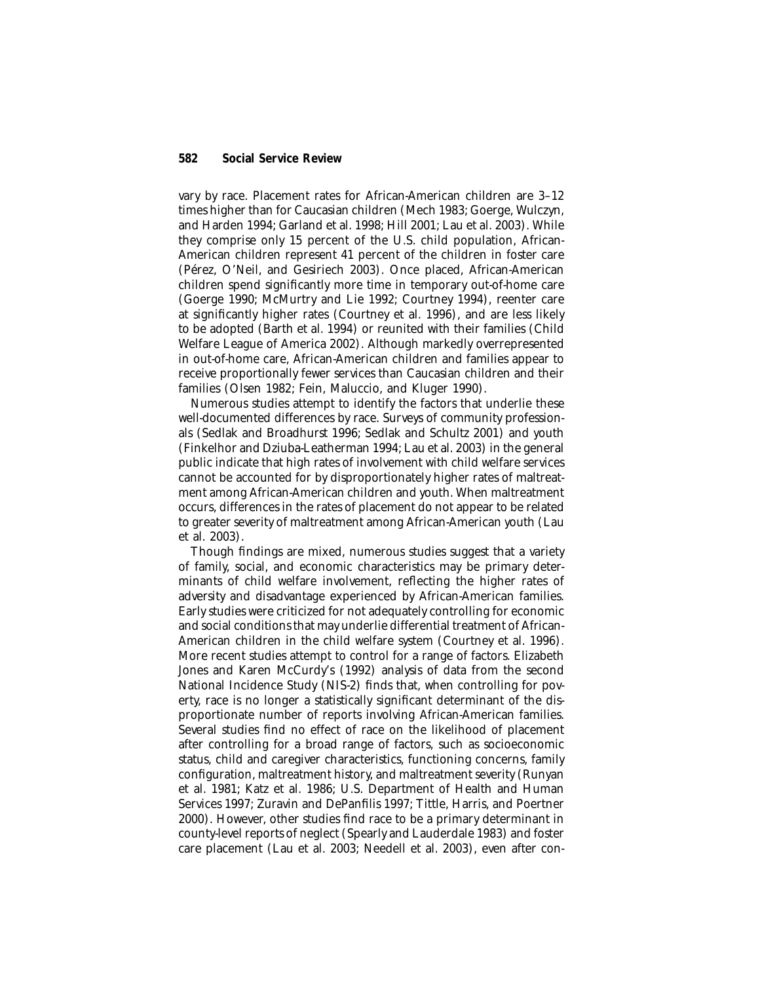vary by race. Placement rates for African-American children are 3–12 times higher than for Caucasian children (Mech 1983; Goerge, Wulczyn, and Harden 1994; Garland et al. 1998; Hill 2001; Lau et al. 2003). While they comprise only 15 percent of the U.S. child population, African-American children represent 41 percent of the children in foster care (Pérez, O'Neil, and Gesiriech 2003). Once placed, African-American children spend significantly more time in temporary out-of-home care (Goerge 1990; McMurtry and Lie 1992; Courtney 1994), reenter care at significantly higher rates (Courtney et al. 1996), and are less likely to be adopted (Barth et al. 1994) or reunited with their families (Child Welfare League of America 2002). Although markedly overrepresented in out-of-home care, African-American children and families appear to receive proportionally fewer services than Caucasian children and their families (Olsen 1982; Fein, Maluccio, and Kluger 1990).

Numerous studies attempt to identify the factors that underlie these well-documented differences by race. Surveys of community professionals (Sedlak and Broadhurst 1996; Sedlak and Schultz 2001) and youth (Finkelhor and Dziuba-Leatherman 1994; Lau et al. 2003) in the general public indicate that high rates of involvement with child welfare services cannot be accounted for by disproportionately higher rates of maltreatment among African-American children and youth. When maltreatment occurs, differences in the rates of placement do not appear to be related to greater severity of maltreatment among African-American youth (Lau et al. 2003).

Though findings are mixed, numerous studies suggest that a variety of family, social, and economic characteristics may be primary determinants of child welfare involvement, reflecting the higher rates of adversity and disadvantage experienced by African-American families. Early studies were criticized for not adequately controlling for economic and social conditions that may underlie differential treatment of African-American children in the child welfare system (Courtney et al. 1996). More recent studies attempt to control for a range of factors. Elizabeth Jones and Karen McCurdy's (1992) analysis of data from the second National Incidence Study (NIS-2) finds that, when controlling for poverty, race is no longer a statistically significant determinant of the disproportionate number of reports involving African-American families. Several studies find no effect of race on the likelihood of placement after controlling for a broad range of factors, such as socioeconomic status, child and caregiver characteristics, functioning concerns, family configuration, maltreatment history, and maltreatment severity (Runyan et al. 1981; Katz et al. 1986; U.S. Department of Health and Human Services 1997; Zuravin and DePanfilis 1997; Tittle, Harris, and Poertner 2000). However, other studies find race to be a primary determinant in county-level reports of neglect (Spearly and Lauderdale 1983) and foster care placement (Lau et al. 2003; Needell et al. 2003), even after con-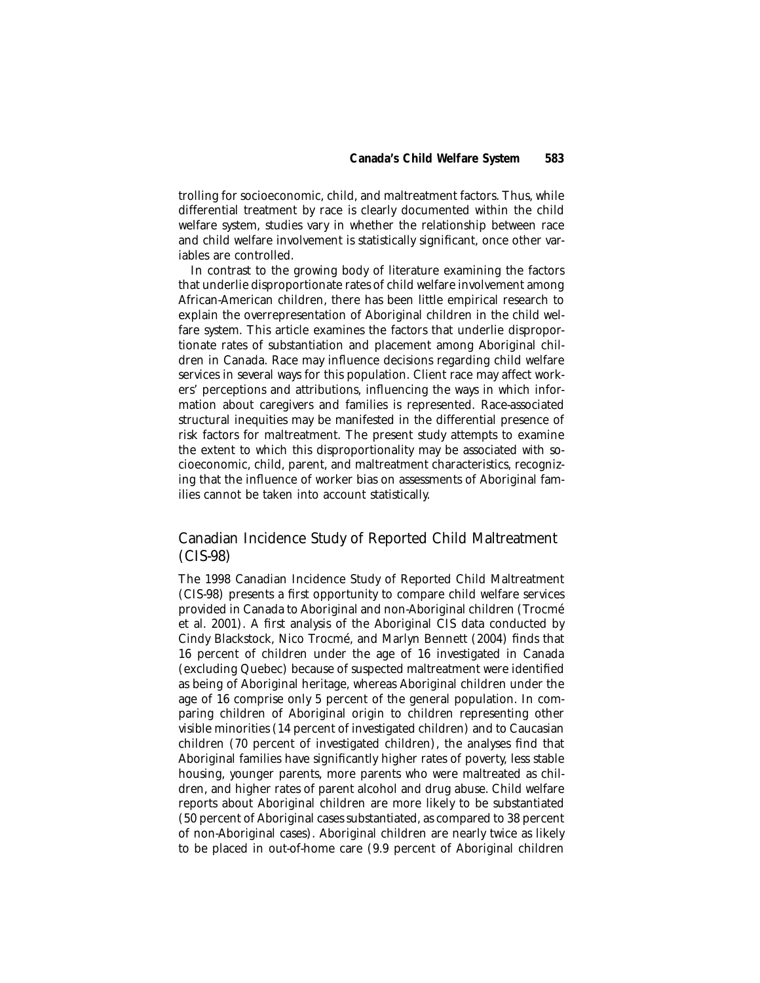trolling for socioeconomic, child, and maltreatment factors. Thus, while differential treatment by race is clearly documented within the child welfare system, studies vary in whether the relationship between race and child welfare involvement is statistically significant, once other variables are controlled.

In contrast to the growing body of literature examining the factors that underlie disproportionate rates of child welfare involvement among African-American children, there has been little empirical research to explain the overrepresentation of Aboriginal children in the child welfare system. This article examines the factors that underlie disproportionate rates of substantiation and placement among Aboriginal children in Canada. Race may influence decisions regarding child welfare services in several ways for this population. Client race may affect workers' perceptions and attributions, influencing the ways in which information about caregivers and families is represented. Race-associated structural inequities may be manifested in the differential presence of risk factors for maltreatment. The present study attempts to examine the extent to which this disproportionality may be associated with socioeconomic, child, parent, and maltreatment characteristics, recognizing that the influence of worker bias on assessments of Aboriginal families cannot be taken into account statistically.

# Canadian Incidence Study of Reported Child Maltreatment (CIS-98)

The 1998 Canadian Incidence Study of Reported Child Maltreatment (CIS-98) presents a first opportunity to compare child welfare services provided in Canada to Aboriginal and non-Aboriginal children (Trocme´ et al. 2001). A first analysis of the Aboriginal CIS data conducted by Cindy Blackstock, Nico Trocmé, and Marlyn Bennett (2004) finds that 16 percent of children under the age of 16 investigated in Canada (excluding Quebec) because of suspected maltreatment were identified as being of Aboriginal heritage, whereas Aboriginal children under the age of 16 comprise only 5 percent of the general population. In comparing children of Aboriginal origin to children representing other visible minorities (14 percent of investigated children) and to Caucasian children (70 percent of investigated children), the analyses find that Aboriginal families have significantly higher rates of poverty, less stable housing, younger parents, more parents who were maltreated as children, and higher rates of parent alcohol and drug abuse. Child welfare reports about Aboriginal children are more likely to be substantiated (50 percent of Aboriginal cases substantiated, as compared to 38 percent of non-Aboriginal cases). Aboriginal children are nearly twice as likely to be placed in out-of-home care (9.9 percent of Aboriginal children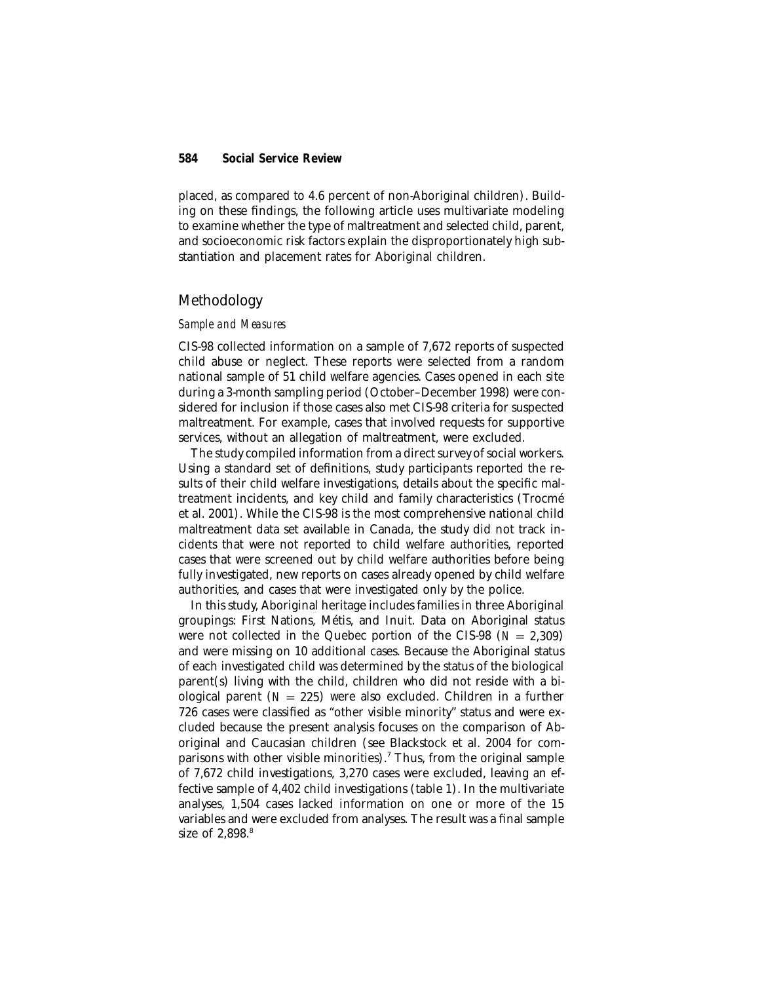placed, as compared to 4.6 percent of non-Aboriginal children). Building on these findings, the following article uses multivariate modeling to examine whether the type of maltreatment and selected child, parent, and socioeconomic risk factors explain the disproportionately high substantiation and placement rates for Aboriginal children.

# Methodology

#### *Sample and Measures*

CIS-98 collected information on a sample of 7,672 reports of suspected child abuse or neglect. These reports were selected from a random national sample of 51 child welfare agencies. Cases opened in each site during a 3-month sampling period (October–December 1998) were considered for inclusion if those cases also met CIS-98 criteria for suspected maltreatment. For example, cases that involved requests for supportive services, without an allegation of maltreatment, were excluded.

The study compiled information from a direct survey of social workers. Using a standard set of definitions, study participants reported the results of their child welfare investigations, details about the specific maltreatment incidents, and key child and family characteristics (Trocme´ et al. 2001). While the CIS-98 is the most comprehensive national child maltreatment data set available in Canada, the study did not track incidents that were not reported to child welfare authorities, reported cases that were screened out by child welfare authorities before being fully investigated, new reports on cases already opened by child welfare authorities, and cases that were investigated only by the police.

In this study, Aboriginal heritage includes families in three Aboriginal groupings: First Nations, Métis, and Inuit. Data on Aboriginal status were not collected in the Quebec portion of the CIS-98 ( $N = 2,309$ ) and were missing on 10 additional cases. Because the Aboriginal status of each investigated child was determined by the status of the biological parent(s) living with the child, children who did not reside with a biological parent  $(N = 225)$  were also excluded. Children in a further 726 cases were classified as "other visible minority" status and were excluded because the present analysis focuses on the comparison of Aboriginal and Caucasian children (see Blackstock et al. 2004 for comparisons with other visible minorities).<sup>7</sup> Thus, from the original sample of 7,672 child investigations, 3,270 cases were excluded, leaving an effective sample of 4,402 child investigations (table 1). In the multivariate analyses, 1,504 cases lacked information on one or more of the 15 variables and were excluded from analyses. The result was a final sample size of 2,898.8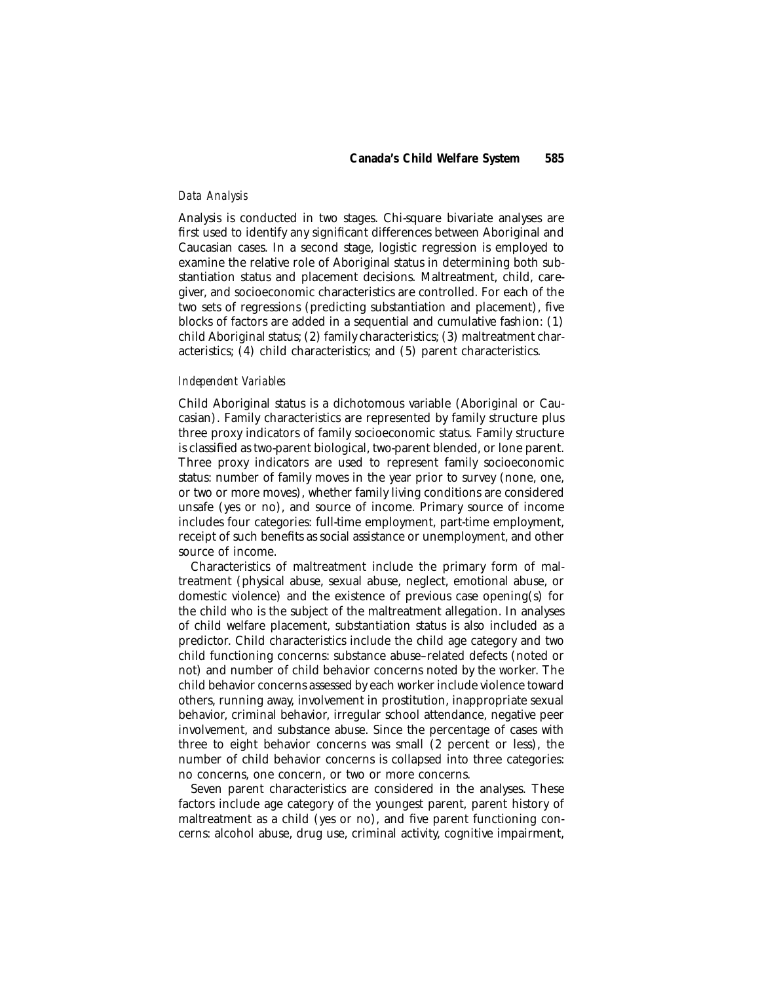#### *Data Analysis*

Analysis is conducted in two stages. Chi-square bivariate analyses are first used to identify any significant differences between Aboriginal and Caucasian cases. In a second stage, logistic regression is employed to examine the relative role of Aboriginal status in determining both substantiation status and placement decisions. Maltreatment, child, caregiver, and socioeconomic characteristics are controlled. For each of the two sets of regressions (predicting substantiation and placement), five blocks of factors are added in a sequential and cumulative fashion: (1) child Aboriginal status; (2) family characteristics; (3) maltreatment characteristics; (4) child characteristics; and (5) parent characteristics.

#### *Independent Variables*

Child Aboriginal status is a dichotomous variable (Aboriginal or Caucasian). Family characteristics are represented by family structure plus three proxy indicators of family socioeconomic status. Family structure is classified as two-parent biological, two-parent blended, or lone parent. Three proxy indicators are used to represent family socioeconomic status: number of family moves in the year prior to survey (none, one, or two or more moves), whether family living conditions are considered unsafe (yes or no), and source of income. Primary source of income includes four categories: full-time employment, part-time employment, receipt of such benefits as social assistance or unemployment, and other source of income.

Characteristics of maltreatment include the primary form of maltreatment (physical abuse, sexual abuse, neglect, emotional abuse, or domestic violence) and the existence of previous case opening(s) for the child who is the subject of the maltreatment allegation. In analyses of child welfare placement, substantiation status is also included as a predictor. Child characteristics include the child age category and two child functioning concerns: substance abuse–related defects (noted or not) and number of child behavior concerns noted by the worker. The child behavior concerns assessed by each worker include violence toward others, running away, involvement in prostitution, inappropriate sexual behavior, criminal behavior, irregular school attendance, negative peer involvement, and substance abuse. Since the percentage of cases with three to eight behavior concerns was small (2 percent or less), the number of child behavior concerns is collapsed into three categories: no concerns, one concern, or two or more concerns.

Seven parent characteristics are considered in the analyses. These factors include age category of the youngest parent, parent history of maltreatment as a child (yes or no), and five parent functioning concerns: alcohol abuse, drug use, criminal activity, cognitive impairment,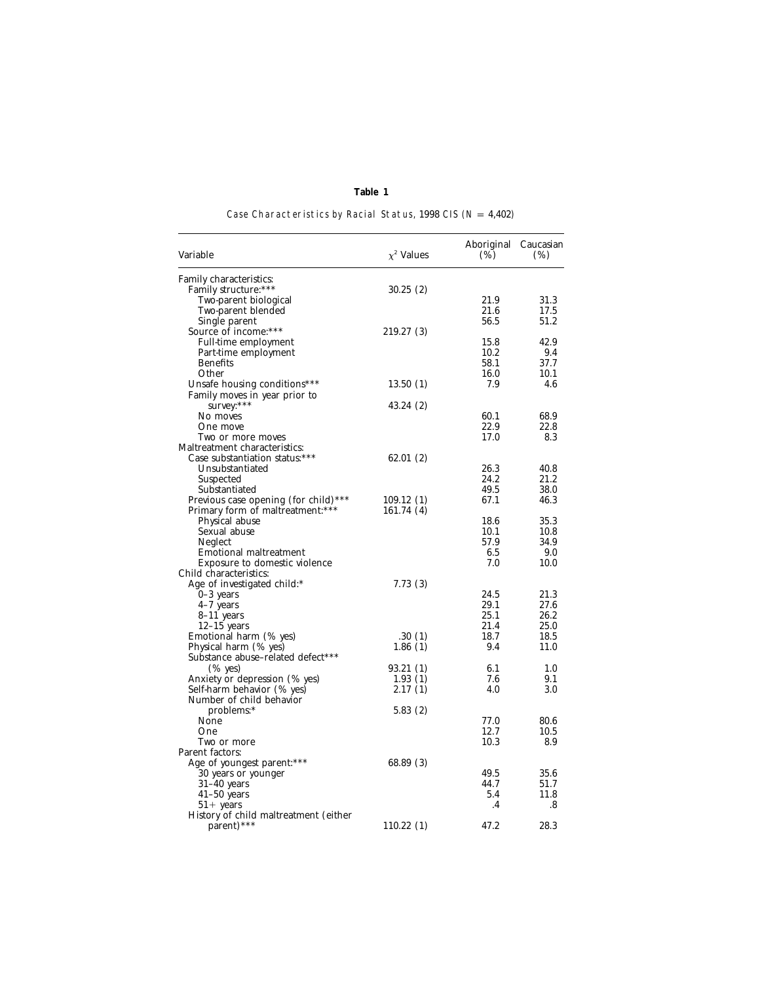# **Table 1**

Case Characteristics by Racial Status, 1998 CIS  $(N = 4,402)$ 

| Variable                              | $\chi^2$ Values | Aboriginal<br>$(\%)$ | Caucasian<br>$(\%)$ |
|---------------------------------------|-----------------|----------------------|---------------------|
| Family characteristics:               |                 |                      |                     |
| Family structure:***                  | 30.25(2)        |                      |                     |
| Two-parent biological                 |                 | 21.9                 | 31.3                |
| Two-parent blended                    |                 | 21.6                 | 17.5                |
| Single parent                         |                 | 56.5                 | 51.2                |
| Source of income:***                  | 219.27 (3)      |                      |                     |
| Full-time employment                  |                 | 15.8                 | 42.9                |
| Part-time employment                  |                 | 10.2                 | 9.4                 |
| <b>Benefits</b>                       |                 | 58.1                 | 37.7                |
| Other                                 |                 | 16.0                 | 10.1                |
| Unsafe housing conditions***          | 13.50(1)        | 7.9                  | 4.6                 |
| Family moves in year prior to         |                 |                      |                     |
| survey:***                            | 43.24(2)        |                      |                     |
| No moves                              |                 | 60.1                 | 68.9                |
| One move                              |                 | 22.9                 | 22.8                |
| Two or more moves                     |                 | 17.0                 | 8.3                 |
| Maltreatment characteristics:         |                 |                      |                     |
| Case substantiation status:***        | 62.01(2)        |                      |                     |
| Unsubstantiated                       |                 | 26.3                 | 40.8                |
| Suspected                             |                 | 24.2                 | 21.2                |
| Substantiated                         |                 | 49.5                 | 38.0                |
| Previous case opening (for child)***  | 109.12(1)       | 67.1                 | 46.3                |
| Primary form of maltreatment:***      | 161.74(4)       |                      |                     |
| Physical abuse                        |                 | 18.6                 | 35.3                |
| Sexual abuse                          |                 | 10.1                 | 10.8                |
| Neglect                               |                 | 57.9                 | 34.9                |
| Emotional maltreatment                |                 | 6.5                  | 9.0                 |
| Exposure to domestic violence         |                 | 7.0                  | 10.0                |
| Child characteristics:                |                 |                      |                     |
| Age of investigated child:*           | 7.73 (3)        |                      |                     |
| $0-3$ years                           |                 | 24.5                 | 21.3                |
| 4-7 years                             |                 | 29.1                 | 27.6                |
| 8–11 years                            |                 | 25.1                 | 26.2                |
| $12-15$ years                         |                 | 21.4                 | 25.0                |
| Emotional harm (% yes)                | .30(1)          | 18.7                 | 18.5                |
| Physical harm (% yes)                 | 1.86(1)         | 9.4                  | 11.0                |
| Substance abuse-related defect***     |                 |                      |                     |
| $(\%$ yes)                            | 93.21(1)        | 6.1                  | 1.0                 |
| Anxiety or depression (% yes)         | 1.93(1)         | 7.6                  | 9.1                 |
| Self-harm behavior (% yes)            | 2.17(1)         | 4.0                  | 3.0                 |
| Number of child behavior              |                 |                      |                     |
| problems:*                            | 5.83(2)         |                      |                     |
| None                                  |                 | 77.0                 | 80.6                |
| One                                   |                 | 12.7                 | 10.5                |
| Two or more                           |                 | 10.3                 | 8.9                 |
| Parent factors:                       |                 |                      |                     |
| Age of youngest parent:***            | 68.89 (3)       |                      |                     |
| 30 years or younger                   |                 | 49.5                 | 35.6                |
| 31–40 years                           |                 | 44.7                 | 51.7                |
| $41-50$ years                         |                 | 5.4                  | 11.8                |
| $51 + \text{ years}$                  |                 | $\cdot$              | .8                  |
| History of child maltreatment (either |                 |                      |                     |
| $parent)$ ***                         | 110.22(1)       | 47.2                 | 28.3                |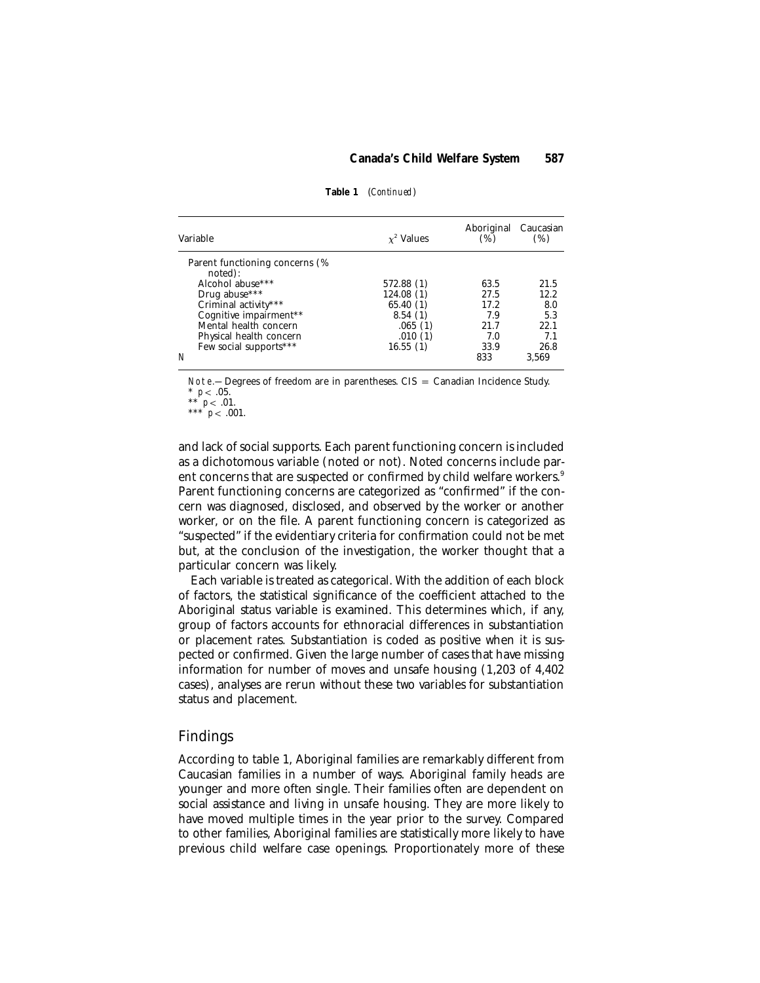| Variable                       | $x^2$ Values | Aboriginal Caucasian<br>(%) | (%)   |
|--------------------------------|--------------|-----------------------------|-------|
| Parent functioning concerns (% |              |                             |       |
| noted):<br>Alcohol abuse***    |              | 63.5                        | 21.5  |
|                                | 572.88(1)    |                             |       |
| Drug abuse***                  | 124.08(1)    | 27.5                        | 12.2  |
| Criminal activity***           | 65.40(1)     | 17.2                        | 8.0   |
| Cognitive impairment**         | 8.54(1)      | 7.9                         | 5.3   |
| Mental health concern          | .065(1)      | 21.7                        | 22.1  |
| Physical health concern        | .010(1)      | 7.0                         | 7.1   |
| Few social supports***         | 16.55(1)     | 33.9                        | 26.8  |
| N                              |              | 833                         | 3,569 |

**Table 1** (*Continued*)

Note.—Degrees of freedom are in parentheses.  $CIS =$  Canadian Incidence Study.  $* p < .05.$  $**$   $p<.01$ .

\*\*\*  $p < .001$ .

and lack of social supports. Each parent functioning concern is included as a dichotomous variable (noted or not). Noted concerns include parent concerns that are suspected or confirmed by child welfare workers.<sup>9</sup> Parent functioning concerns are categorized as "confirmed" if the concern was diagnosed, disclosed, and observed by the worker or another worker, or on the file. A parent functioning concern is categorized as "suspected" if the evidentiary criteria for confirmation could not be met but, at the conclusion of the investigation, the worker thought that a particular concern was likely.

Each variable is treated as categorical. With the addition of each block of factors, the statistical significance of the coefficient attached to the Aboriginal status variable is examined. This determines which, if any, group of factors accounts for ethnoracial differences in substantiation or placement rates. Substantiation is coded as positive when it is suspected or confirmed. Given the large number of cases that have missing information for number of moves and unsafe housing (1,203 of 4,402 cases), analyses are rerun without these two variables for substantiation status and placement.

# Findings

According to table 1, Aboriginal families are remarkably different from Caucasian families in a number of ways. Aboriginal family heads are younger and more often single. Their families often are dependent on social assistance and living in unsafe housing. They are more likely to have moved multiple times in the year prior to the survey. Compared to other families, Aboriginal families are statistically more likely to have previous child welfare case openings. Proportionately more of these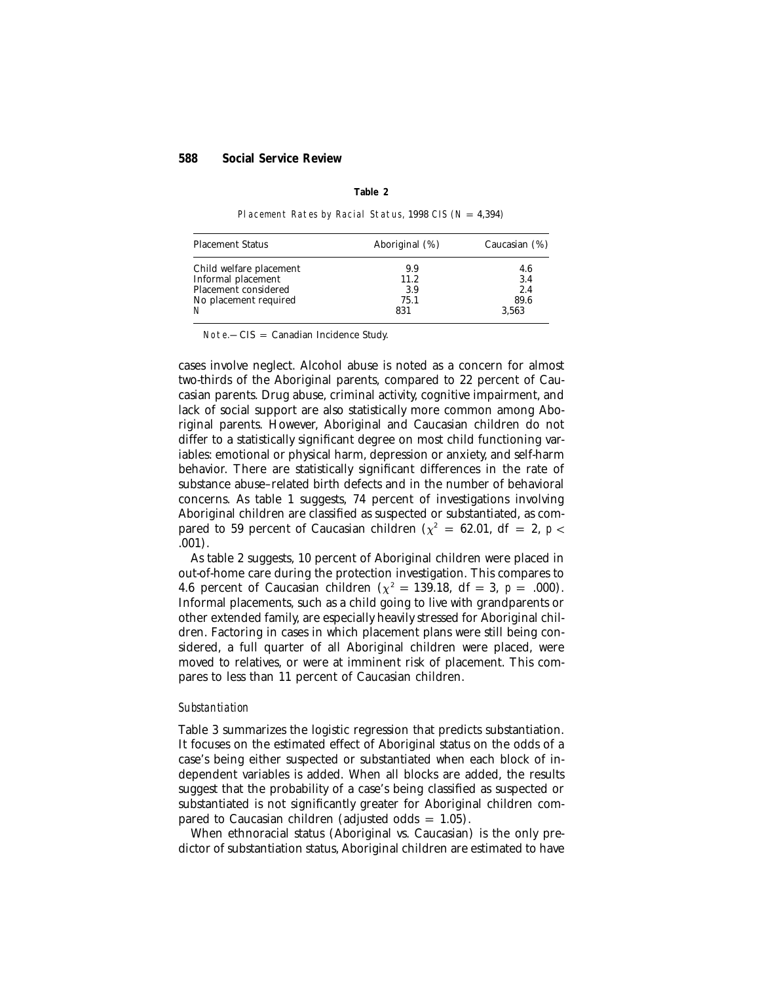#### **Table 2**

Placement Rates by Racial Status, 1998 CIS  $(N = 4,394)$ 

| <b>Placement Status</b> | Aboriginal (%) | Caucasian $(\%)$ |  |
|-------------------------|----------------|------------------|--|
| Child welfare placement | 9.9            | 4.6              |  |
| Informal placement      | 11.2           | 3.4              |  |
| Placement considered    | 3.9            | 2.4              |  |
| No placement required   | 75.1           | 89.6             |  |
|                         | 831            | 3.563            |  |

 $Note. -CIS = Canadian Intidence Study.$ 

cases involve neglect. Alcohol abuse is noted as a concern for almost two-thirds of the Aboriginal parents, compared to 22 percent of Caucasian parents. Drug abuse, criminal activity, cognitive impairment, and lack of social support are also statistically more common among Aboriginal parents. However, Aboriginal and Caucasian children do not differ to a statistically significant degree on most child functioning variables: emotional or physical harm, depression or anxiety, and self-harm behavior. There are statistically significant differences in the rate of substance abuse–related birth defects and in the number of behavioral concerns. As table 1 suggests, 74 percent of investigations involving Aboriginal children are classified as suspected or substantiated, as compared to 59 percent of Caucasian children ( $\chi^2$  = 62.01, df = 2, *p* < .001).

As table 2 suggests, 10 percent of Aboriginal children were placed in out-of-home care during the protection investigation. This compares to 4.6 percent of Caucasian children ( $\chi^2 = 139.18$ , df = 3, p = .000). Informal placements, such as a child going to live with grandparents or other extended family, are especially heavily stressed for Aboriginal children. Factoring in cases in which placement plans were still being considered, a full quarter of all Aboriginal children were placed, were moved to relatives, or were at imminent risk of placement. This compares to less than 11 percent of Caucasian children.

#### *Substantiation*

Table 3 summarizes the logistic regression that predicts substantiation. It focuses on the estimated effect of Aboriginal status on the odds of a case's being either suspected or substantiated when each block of independent variables is added. When all blocks are added, the results suggest that the probability of a case's being classified as suspected or substantiated is not significantly greater for Aboriginal children compared to Caucasian children (adjusted odds  $= 1.05$ ).

When ethnoracial status (Aboriginal vs. Caucasian) is the only predictor of substantiation status, Aboriginal children are estimated to have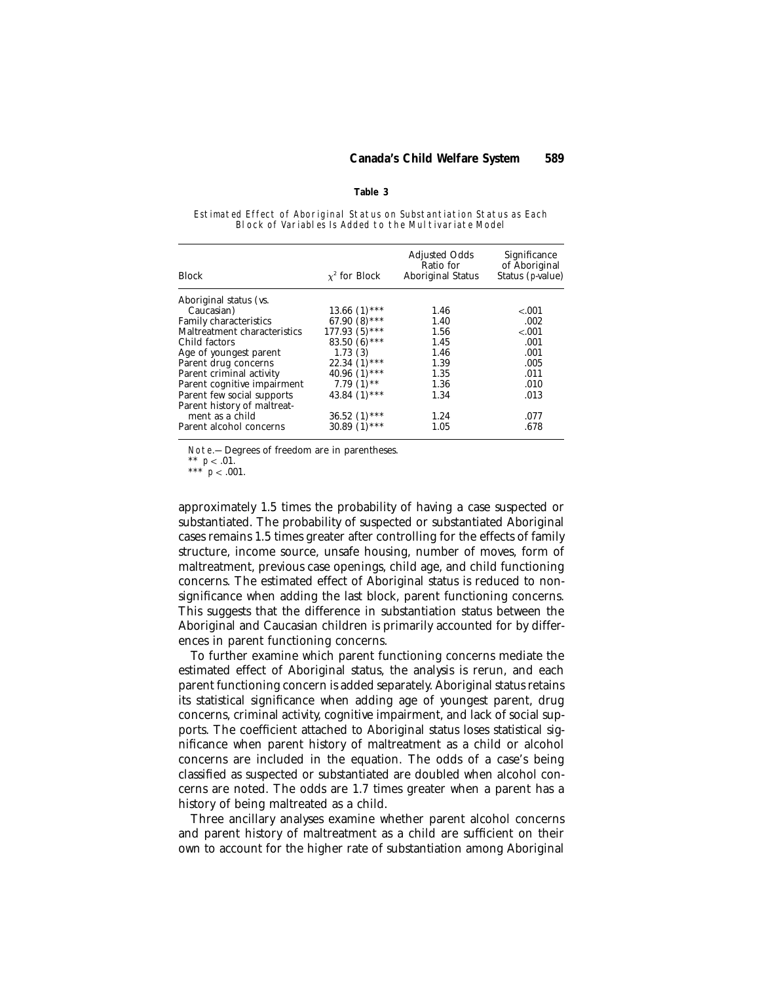#### **Table 3**

Estimated Effect of Aboriginal Status on Substantiation Status as Each Block of Variables Is Added to the Multivariate Model

|                              |                 | <b>Adjusted Odds</b><br>Ratio for | Significance<br>of Aboriginal |
|------------------------------|-----------------|-----------------------------------|-------------------------------|
| <b>Block</b>                 | $x^2$ for Block | <b>Aboriginal Status</b>          | Status $(p-value)$            |
| Aboriginal status (vs.       |                 |                                   |                               |
| Caucasian)                   | $13.66(1)$ ***  | 1.46                              | ${<}001$                      |
| Family characteristics       | $67.90(8)$ ***  | 1.40                              | .002                          |
| Maltreatment characteristics | $177.93(5)$ *** | 1.56                              | < 0.01                        |
| Child factors                | 83.50 $(6)$ *** | 1.45                              | .001                          |
| Age of youngest parent       | 1.73(3)         | 1.46                              | .001                          |
| Parent drug concerns         | $22.34(1)$ ***  | 1.39                              | .005                          |
| Parent criminal activity     | 40.96 $(1)$ *** | 1.35                              | .011                          |
| Parent cognitive impairment  | 7.79(1)         | 1.36                              | .010                          |
| Parent few social supports   | 43.84 $(1)$ *** | 1.34                              | .013                          |
| Parent history of maltreat-  |                 |                                   |                               |
| ment as a child              | $36.52(1)$ ***  | 1.24                              | .077                          |
| Parent alcohol concerns      | $30.89(1)$ ***  | 1.05                              | .678                          |

Note.—Degrees of freedom are in parentheses.

\*\*  $p < .01$ . \*\*\*  $p < .001$ .

approximately 1.5 times the probability of having a case suspected or substantiated. The probability of suspected or substantiated Aboriginal cases remains 1.5 times greater after controlling for the effects of family structure, income source, unsafe housing, number of moves, form of maltreatment, previous case openings, child age, and child functioning

concerns. The estimated effect of Aboriginal status is reduced to nonsignificance when adding the last block, parent functioning concerns. This suggests that the difference in substantiation status between the Aboriginal and Caucasian children is primarily accounted for by differences in parent functioning concerns.

To further examine which parent functioning concerns mediate the estimated effect of Aboriginal status, the analysis is rerun, and each parent functioning concern is added separately. Aboriginal status retains its statistical significance when adding age of youngest parent, drug concerns, criminal activity, cognitive impairment, and lack of social supports. The coefficient attached to Aboriginal status loses statistical significance when parent history of maltreatment as a child or alcohol concerns are included in the equation. The odds of a case's being classified as suspected or substantiated are doubled when alcohol concerns are noted. The odds are 1.7 times greater when a parent has a history of being maltreated as a child.

Three ancillary analyses examine whether parent alcohol concerns and parent history of maltreatment as a child are sufficient on their own to account for the higher rate of substantiation among Aboriginal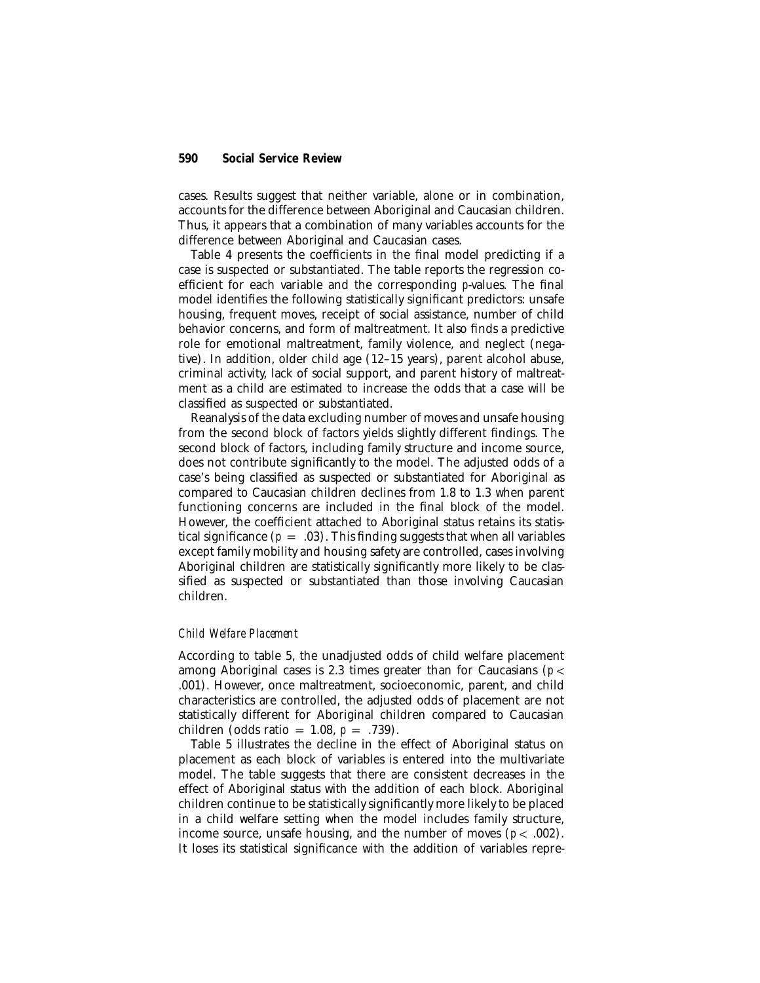cases. Results suggest that neither variable, alone or in combination, accounts for the difference between Aboriginal and Caucasian children. Thus, it appears that a combination of many variables accounts for the difference between Aboriginal and Caucasian cases.

Table 4 presents the coefficients in the final model predicting if a case is suspected or substantiated. The table reports the regression coefficient for each variable and the corresponding *p*-values. The final model identifies the following statistically significant predictors: unsafe housing, frequent moves, receipt of social assistance, number of child behavior concerns, and form of maltreatment. It also finds a predictive role for emotional maltreatment, family violence, and neglect (negative). In addition, older child age (12–15 years), parent alcohol abuse, criminal activity, lack of social support, and parent history of maltreatment as a child are estimated to increase the odds that a case will be classified as suspected or substantiated.

Reanalysis of the data excluding number of moves and unsafe housing from the second block of factors yields slightly different findings. The second block of factors, including family structure and income source, does not contribute significantly to the model. The adjusted odds of a case's being classified as suspected or substantiated for Aboriginal as compared to Caucasian children declines from 1.8 to 1.3 when parent functioning concerns are included in the final block of the model. However, the coefficient attached to Aboriginal status retains its statistical significance ( $p = .03$ ). This finding suggests that when all variables except family mobility and housing safety are controlled, cases involving Aboriginal children are statistically significantly more likely to be classified as suspected or substantiated than those involving Caucasian children.

#### *Child Welfare Placement*

According to table 5, the unadjusted odds of child welfare placement among Aboriginal cases is 2.3 times greater than for Caucasians ( $p <$ .001). However, once maltreatment, socioeconomic, parent, and child characteristics are controlled, the adjusted odds of placement are not statistically different for Aboriginal children compared to Caucasian children (odds ratio = 1.08,  $p = .739$ ).

Table 5 illustrates the decline in the effect of Aboriginal status on placement as each block of variables is entered into the multivariate model. The table suggests that there are consistent decreases in the effect of Aboriginal status with the addition of each block. Aboriginal children continue to be statistically significantly more likely to be placed in a child welfare setting when the model includes family structure, income source, unsafe housing, and the number of moves  $(p < .002)$ . It loses its statistical significance with the addition of variables repre-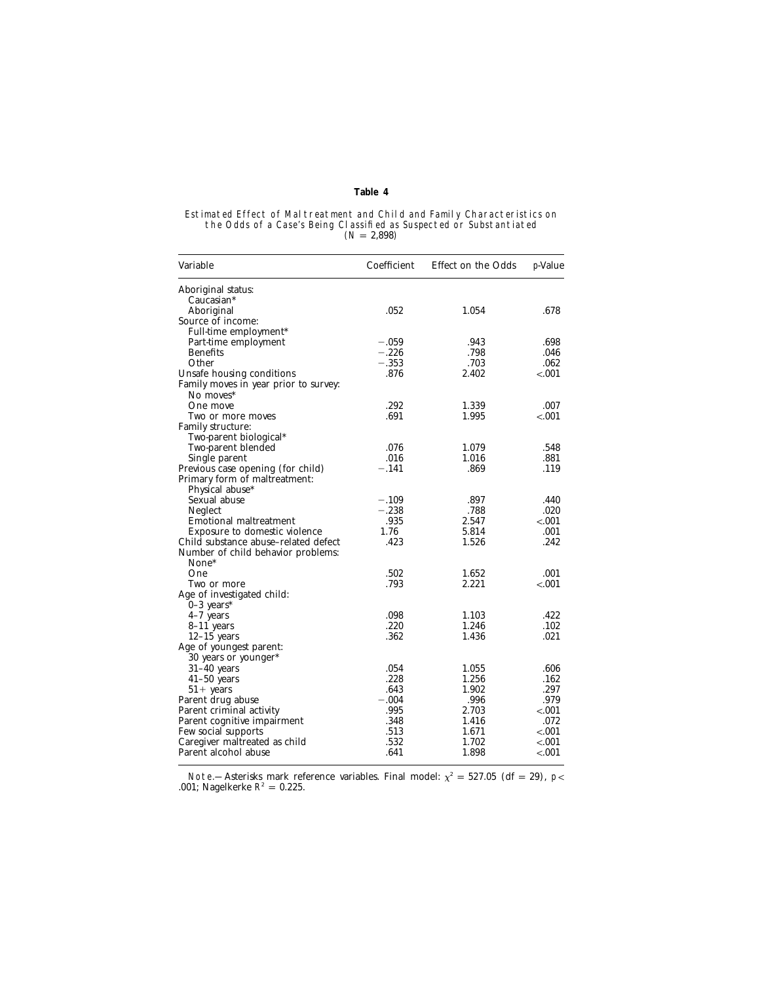## **Table 4**

#### Estimated Effect of Maltreatment and Child and Family Characteristics on the Odds of a Case's Being Classified as Suspected or Substantiated  $(N = 2,898)$

| Variable                              | Coefficient | Effect on the Odds | <i>p</i> -Value |
|---------------------------------------|-------------|--------------------|-----------------|
| Aboriginal status:                    |             |                    |                 |
| Caucasian*                            |             |                    |                 |
| Aboriginal                            | .052        | 1.054              | .678            |
| Source of income:                     |             |                    |                 |
| Full-time employment*                 |             |                    |                 |
| Part-time employment                  | $-.059$     | .943               | .698            |
| <b>Benefits</b>                       | $-.226$     | .798               | .046            |
| Other                                 | $-.353$     | .703               | .062            |
| Unsafe housing conditions             | .876        | 2.402              | ${<}.001$       |
| Family moves in year prior to survey: |             |                    |                 |
| No moves*                             |             |                    |                 |
| One move                              | .292        | 1.339              | .007            |
| Two or more moves                     | .691        | 1.995              | < 001           |
| Family structure:                     |             |                    |                 |
| Two-parent biological*                |             |                    |                 |
| Two-parent blended                    | .076        | 1.079              | .548            |
| Single parent                         | .016        | 1.016              | .881            |
| Previous case opening (for child)     | $-.141$     | .869               | .119            |
| Primary form of maltreatment:         |             |                    |                 |
| Physical abuse*                       |             |                    |                 |
| Sexual abuse                          | $-.109$     | .897               | .440            |
| Neglect                               | $-.238$     | .788               | .020            |
| <b>Emotional maltreatment</b>         | .935        | 2.547              | ${<}001$        |
| Exposure to domestic violence         | 1.76        | 5.814              | .001            |
| Child substance abuse-related defect  | .423        | 1.526              | .242            |
| Number of child behavior problems:    |             |                    |                 |
| None*                                 |             |                    |                 |
| One                                   | .502        | 1.652              | .001            |
| Two or more                           | .793        | 2.221              | $-.001$         |
| Age of investigated child:            |             |                    |                 |
| $0-3$ years*                          |             |                    |                 |
| 4-7 years                             | .098        | 1.103              | .422            |
| $8-11$ years                          | .220        | 1.246              | .102            |
| $12-15$ years                         | .362        | 1.436              | .021            |
| Age of youngest parent:               |             |                    |                 |
| 30 years or younger*                  |             |                    |                 |
| $31-40$ years                         | .054        | 1.055              | .606            |
| $41-50$ years                         | .228        | 1.256              | .162            |
| $51 + \text{years}$                   | .643        | 1.902              | .297            |
| Parent drug abuse                     | $-.004$     | .996               | .979            |
| Parent criminal activity              | .995        | 2.703              | ${<}.001$       |
| Parent cognitive impairment           | .348        | 1.416              | .072            |
| Few social supports                   | .513        | 1.671              | < 001           |
| Caregiver maltreated as child         | .532        | 1.702              | ${<}001$        |
| Parent alcohol abuse                  | .641        | 1.898              | ${<}.001$       |

Note.—Asterisks mark reference variables. Final model:  $\chi^2 = 527.05$  (df = 29),  $p <$ .001; Nagelkerke  $R^2 = 0.225$ .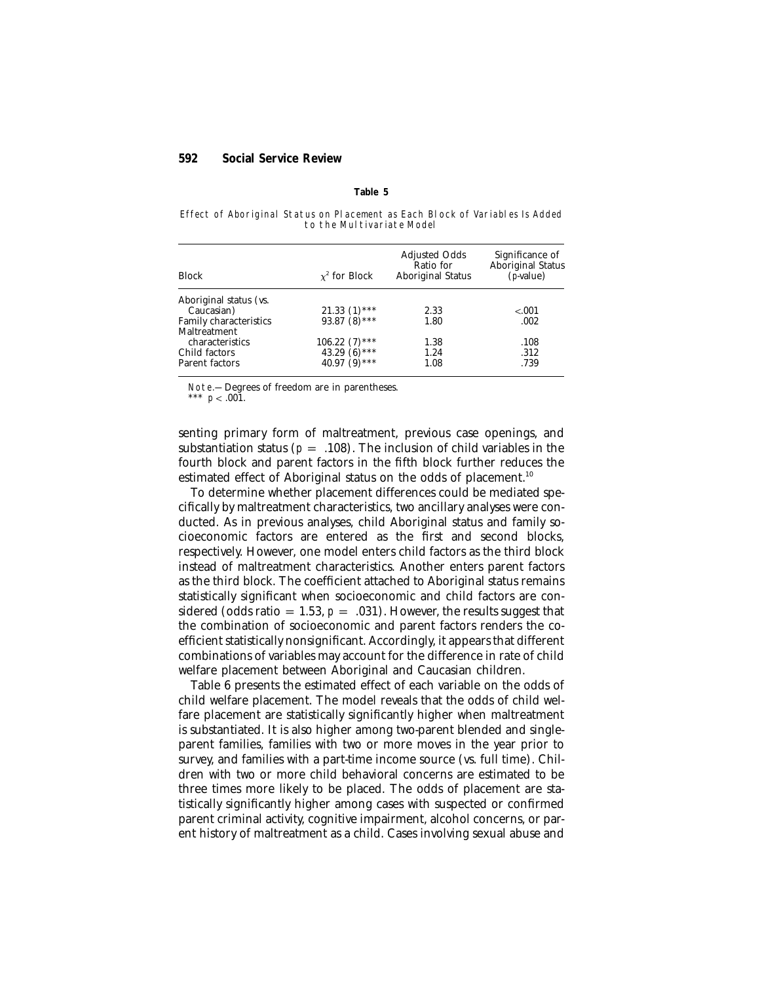#### **Table 5**

Effect of Aboriginal Status on Placement as Each Block of Variables Is Added to the Multivariate Model

| <b>Block</b>           | $x^2$ for Block | <b>Adjusted Odds</b><br>Ratio for<br><b>Aboriginal Status</b> | Significance of<br>Aboriginal Status<br>( <i>p</i> -value) |
|------------------------|-----------------|---------------------------------------------------------------|------------------------------------------------------------|
| Aboriginal status (vs. |                 |                                                               |                                                            |
| Caucasian)             | $21.33(1)$ ***  | 2.33                                                          | ${<}001$                                                   |
| Family characteristics | $93.87(8)$ ***  | 1.80                                                          | .002                                                       |
| Maltreatment           |                 |                                                               |                                                            |
| characteristics        | $106.22(7)$ *** | 1.38                                                          | .108                                                       |
| Child factors          | $43.29(6)***$   | 1.24                                                          | .312                                                       |
| Parent factors         | $40.97(9)$ ***  | 1.08                                                          | .739                                                       |

Note.—Degrees of freedom are in parentheses.

 $*$   $p < .001$ .

senting primary form of maltreatment, previous case openings, and substantiation status ( $p = .108$ ). The inclusion of child variables in the fourth block and parent factors in the fifth block further reduces the estimated effect of Aboriginal status on the odds of placement.<sup>10</sup>

To determine whether placement differences could be mediated specifically by maltreatment characteristics, two ancillary analyses were conducted. As in previous analyses, child Aboriginal status and family socioeconomic factors are entered as the first and second blocks, respectively. However, one model enters child factors as the third block instead of maltreatment characteristics. Another enters parent factors as the third block. The coefficient attached to Aboriginal status remains statistically significant when socioeconomic and child factors are considered (odds ratio = 1.53,  $p = .031$ ). However, the results suggest that the combination of socioeconomic and parent factors renders the coefficient statistically nonsignificant. Accordingly, it appears that different combinations of variables may account for the difference in rate of child welfare placement between Aboriginal and Caucasian children.

Table 6 presents the estimated effect of each variable on the odds of child welfare placement. The model reveals that the odds of child welfare placement are statistically significantly higher when maltreatment is substantiated. It is also higher among two-parent blended and singleparent families, families with two or more moves in the year prior to survey, and families with a part-time income source (vs. full time). Children with two or more child behavioral concerns are estimated to be three times more likely to be placed. The odds of placement are statistically significantly higher among cases with suspected or confirmed parent criminal activity, cognitive impairment, alcohol concerns, or parent history of maltreatment as a child. Cases involving sexual abuse and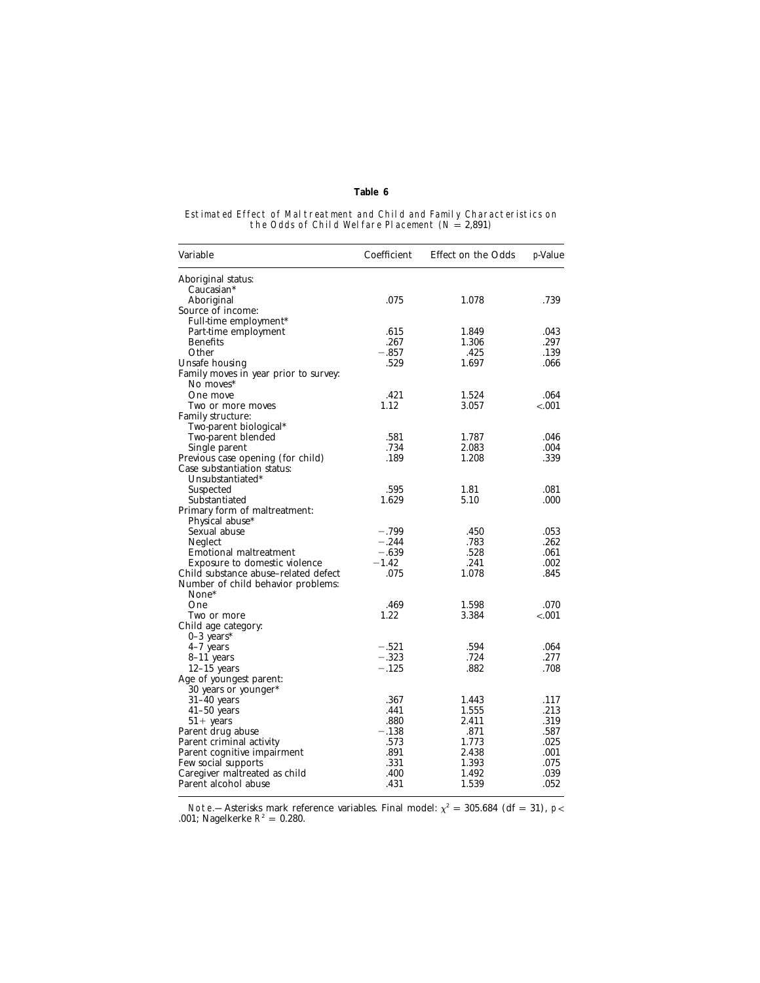## **Table 6**

#### Estimated Effect of Maltreatment and Child and Family Characteristics on the Odds of Child Welfare Placement  $(N = 2,891)$

| Variable                              | Coefficient | Effect on the Odds | <i>p</i> -Value |
|---------------------------------------|-------------|--------------------|-----------------|
| Aboriginal status:                    |             |                    |                 |
| Caucasian*                            |             |                    |                 |
| Aboriginal                            | .075        | 1.078              | .739            |
| Source of income:                     |             |                    |                 |
| Full-time employment*                 |             |                    |                 |
| Part-time employment                  | .615        | 1.849              | .043            |
| <b>Benefits</b>                       | .267        | 1.306              | .297            |
| Other                                 | $-.857$     | .425               | .139            |
| Unsafe housing                        | .529        | 1.697              | .066            |
| Family moves in year prior to survey: |             |                    |                 |
| No moves*                             |             |                    |                 |
| One move                              | .421        | 1.524              | .064            |
| Two or more moves                     | 1.12        | 3.057              | $-.001$         |
| Family structure:                     |             |                    |                 |
| Two-parent biological*                |             |                    |                 |
| Two-parent blended                    | .581        | 1.787              | .046            |
| Single parent                         | .734        | 2.083              | .004            |
| Previous case opening (for child)     | .189        | 1.208              | .339            |
| Case substantiation status:           |             |                    |                 |
| Unsubstantiated*                      |             |                    |                 |
| Suspected                             | .595        | 1.81               | .081            |
| Substantiated                         | 1.629       | 5.10               | .000            |
| Primary form of maltreatment:         |             |                    |                 |
| Physical abuse*                       |             |                    |                 |
| Sexual abuse                          | $-.799$     | .450               | .053            |
| Neglect                               | $-.244$     | .783               | .262            |
| <b>Emotional maltreatment</b>         | $-.639$     | .528               | .061            |
| Exposure to domestic violence         | $-1.42$     | .241               | .002            |
| Child substance abuse-related defect  | .075        | 1.078              | .845            |
| Number of child behavior problems:    |             |                    |                 |
| None*                                 |             |                    |                 |
| One                                   | .469        | 1.598              | .070            |
| Two or more                           | 1.22        | 3.384              | $-.001$         |
| Child age category:                   |             |                    |                 |
| $0-3$ years*                          |             |                    |                 |
| 4–7 years                             | $-.521$     | .594               | .064            |
| $8-11$ years                          | $-.323$     | .724               | .277            |
| $12-15$ years                         | $-.125$     | .882               | .708            |
| Age of youngest parent:               |             |                    |                 |
| 30 years or younger*                  |             |                    |                 |
| $31-40$ years                         | .367        | 1.443              | .117            |
|                                       | .441        | 1.555              | .213            |
| $41-50$ years                         | .880        | 2.411              | .319            |
| $51+$ years                           | $-.138$     | .871               | .587            |
| Parent drug abuse                     |             |                    |                 |
| Parent criminal activity              | .573        | 1.773              | .025            |
| Parent cognitive impairment           | .891        | 2.438              | .001            |
| Few social supports                   | .331        | 1.393              | .075            |
| Caregiver maltreated as child         | .400        | 1.492              | .039            |
| Parent alcohol abuse                  | .431        | 1.539              | .052            |

Note.—Asterisks mark reference variables. Final model:  $\chi^2 = 305.684$  (df = 31),  $p$  < .001; Nagelkerke  $R^2 = 0.280$ .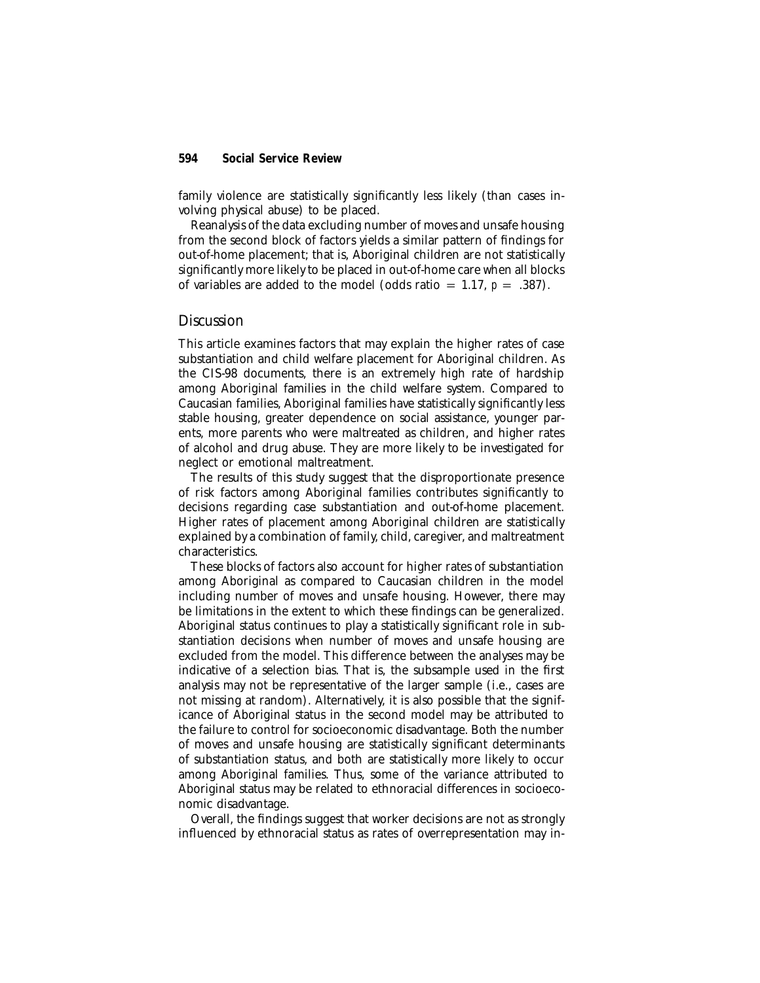family violence are statistically significantly less likely (than cases involving physical abuse) to be placed.

Reanalysis of the data excluding number of moves and unsafe housing from the second block of factors yields a similar pattern of findings for out-of-home placement; that is, Aboriginal children are not statistically significantly more likely to be placed in out-of-home care when all blocks of variables are added to the model (odds ratio  $= 1.17$ ,  $p = .387$ ).

#### Discussion

This article examines factors that may explain the higher rates of case substantiation and child welfare placement for Aboriginal children. As the CIS-98 documents, there is an extremely high rate of hardship among Aboriginal families in the child welfare system. Compared to Caucasian families, Aboriginal families have statistically significantly less stable housing, greater dependence on social assistance, younger parents, more parents who were maltreated as children, and higher rates of alcohol and drug abuse. They are more likely to be investigated for neglect or emotional maltreatment.

The results of this study suggest that the disproportionate presence of risk factors among Aboriginal families contributes significantly to decisions regarding case substantiation and out-of-home placement. Higher rates of placement among Aboriginal children are statistically explained by a combination of family, child, caregiver, and maltreatment characteristics.

These blocks of factors also account for higher rates of substantiation among Aboriginal as compared to Caucasian children in the model including number of moves and unsafe housing. However, there may be limitations in the extent to which these findings can be generalized. Aboriginal status continues to play a statistically significant role in substantiation decisions when number of moves and unsafe housing are excluded from the model. This difference between the analyses may be indicative of a selection bias. That is, the subsample used in the first analysis may not be representative of the larger sample (i.e., cases are not missing at random). Alternatively, it is also possible that the significance of Aboriginal status in the second model may be attributed to the failure to control for socioeconomic disadvantage. Both the number of moves and unsafe housing are statistically significant determinants of substantiation status, and both are statistically more likely to occur among Aboriginal families. Thus, some of the variance attributed to Aboriginal status may be related to ethnoracial differences in socioeconomic disadvantage.

Overall, the findings suggest that worker decisions are not as strongly influenced by ethnoracial status as rates of overrepresentation may in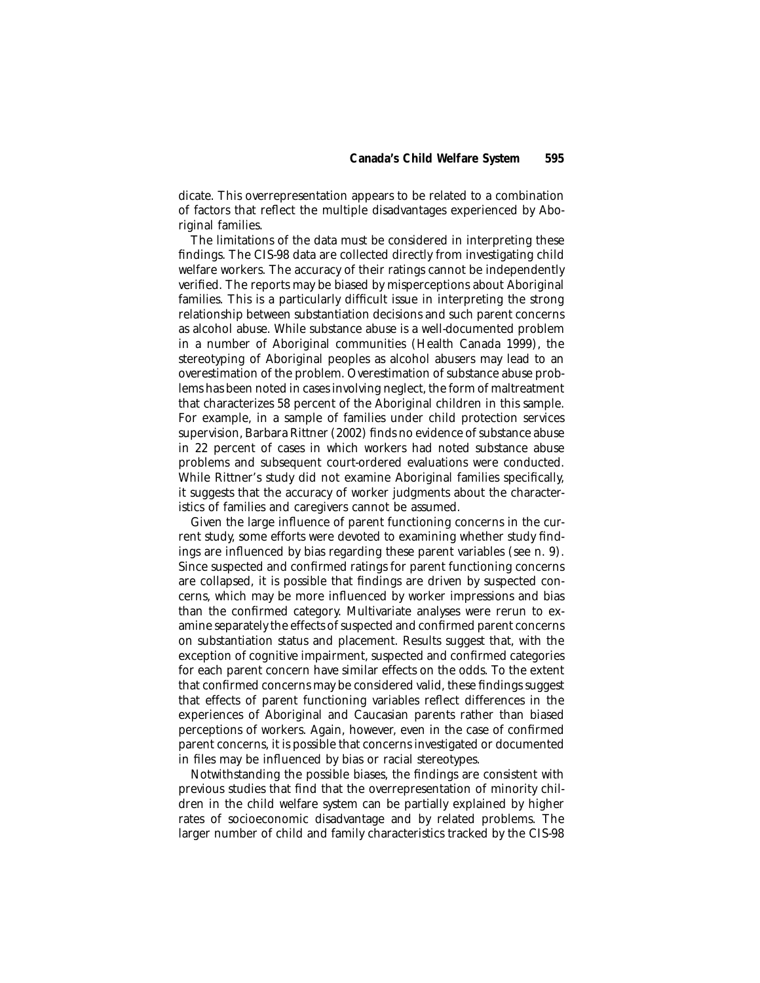dicate. This overrepresentation appears to be related to a combination of factors that reflect the multiple disadvantages experienced by Aboriginal families.

The limitations of the data must be considered in interpreting these findings. The CIS-98 data are collected directly from investigating child welfare workers. The accuracy of their ratings cannot be independently verified. The reports may be biased by misperceptions about Aboriginal families. This is a particularly difficult issue in interpreting the strong relationship between substantiation decisions and such parent concerns as alcohol abuse. While substance abuse is a well-documented problem in a number of Aboriginal communities (Health Canada 1999), the stereotyping of Aboriginal peoples as alcohol abusers may lead to an overestimation of the problem. Overestimation of substance abuse problems has been noted in cases involving neglect, the form of maltreatment that characterizes 58 percent of the Aboriginal children in this sample. For example, in a sample of families under child protection services supervision, Barbara Rittner (2002) finds no evidence of substance abuse in 22 percent of cases in which workers had noted substance abuse problems and subsequent court-ordered evaluations were conducted. While Rittner's study did not examine Aboriginal families specifically, it suggests that the accuracy of worker judgments about the characteristics of families and caregivers cannot be assumed.

Given the large influence of parent functioning concerns in the current study, some efforts were devoted to examining whether study findings are influenced by bias regarding these parent variables (see n. 9). Since suspected and confirmed ratings for parent functioning concerns are collapsed, it is possible that findings are driven by suspected concerns, which may be more influenced by worker impressions and bias than the confirmed category. Multivariate analyses were rerun to examine separately the effects of suspected and confirmed parent concerns on substantiation status and placement. Results suggest that, with the exception of cognitive impairment, suspected and confirmed categories for each parent concern have similar effects on the odds. To the extent that confirmed concerns may be considered valid, these findings suggest that effects of parent functioning variables reflect differences in the experiences of Aboriginal and Caucasian parents rather than biased perceptions of workers. Again, however, even in the case of confirmed parent concerns, it is possible that concerns investigated or documented in files may be influenced by bias or racial stereotypes.

Notwithstanding the possible biases, the findings are consistent with previous studies that find that the overrepresentation of minority children in the child welfare system can be partially explained by higher rates of socioeconomic disadvantage and by related problems. The larger number of child and family characteristics tracked by the CIS-98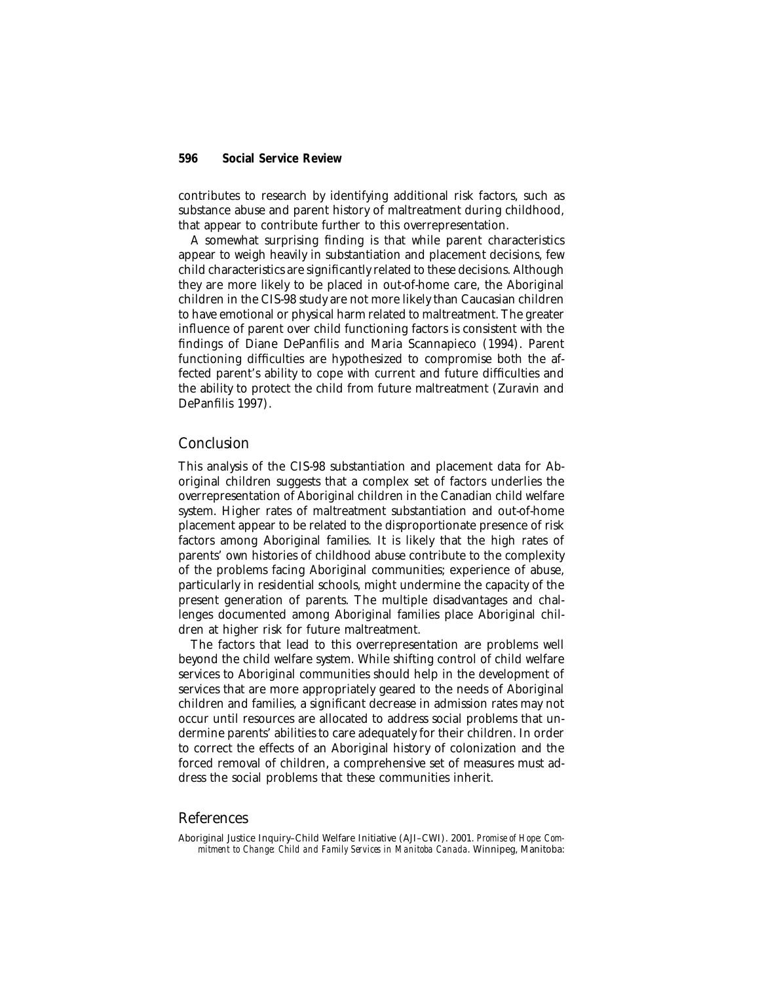contributes to research by identifying additional risk factors, such as substance abuse and parent history of maltreatment during childhood, that appear to contribute further to this overrepresentation.

A somewhat surprising finding is that while parent characteristics appear to weigh heavily in substantiation and placement decisions, few child characteristics are significantly related to these decisions. Although they are more likely to be placed in out-of-home care, the Aboriginal children in the CIS-98 study are not more likely than Caucasian children to have emotional or physical harm related to maltreatment. The greater influence of parent over child functioning factors is consistent with the findings of Diane DePanfilis and Maria Scannapieco (1994). Parent functioning difficulties are hypothesized to compromise both the affected parent's ability to cope with current and future difficulties and the ability to protect the child from future maltreatment (Zuravin and DePanfilis 1997).

## **Conclusion**

This analysis of the CIS-98 substantiation and placement data for Aboriginal children suggests that a complex set of factors underlies the overrepresentation of Aboriginal children in the Canadian child welfare system. Higher rates of maltreatment substantiation and out-of-home placement appear to be related to the disproportionate presence of risk factors among Aboriginal families. It is likely that the high rates of parents' own histories of childhood abuse contribute to the complexity of the problems facing Aboriginal communities; experience of abuse, particularly in residential schools, might undermine the capacity of the present generation of parents. The multiple disadvantages and challenges documented among Aboriginal families place Aboriginal children at higher risk for future maltreatment.

The factors that lead to this overrepresentation are problems well beyond the child welfare system. While shifting control of child welfare services to Aboriginal communities should help in the development of services that are more appropriately geared to the needs of Aboriginal children and families, a significant decrease in admission rates may not occur until resources are allocated to address social problems that undermine parents' abilities to care adequately for their children. In order to correct the effects of an Aboriginal history of colonization and the forced removal of children, a comprehensive set of measures must address the social problems that these communities inherit.

## References

Aboriginal Justice Inquiry–Child Welfare Initiative (AJI–CWI). 2001. *Promise of Hope: Commitment to Change: Child and Family Services in Manitoba Canada*. Winnipeg, Manitoba: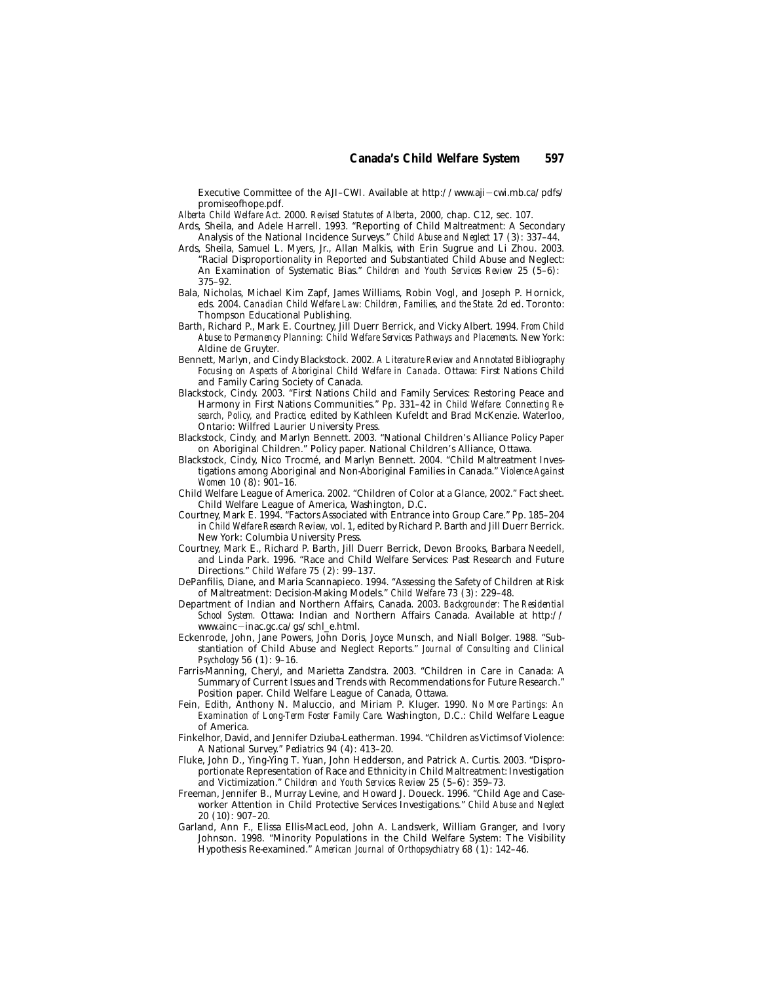Executive Committee of the AJI–CWI. Available at http://www.aji-cwi.mb.ca/pdfs/ promiseofhope.pdf.

*Alberta Child Welfare Act*. 2000. *Revised Statutes of Alberta*, 2000, chap. C12, sec. 107.

- Ards, Sheila, and Adele Harrell. 1993. "Reporting of Child Maltreatment: A Secondary Analysis of the National Incidence Surveys." *Child Abuse and Neglect* 17 (3): 337–44.
- Ards, Sheila, Samuel L. Myers, Jr., Allan Malkis, with Erin Sugrue and Li Zhou. 2003. "Racial Disproportionality in Reported and Substantiated Child Abuse and Neglect: An Examination of Systematic Bias." *Children and Youth Services Review* 25 (5–6): 375–92.
- Bala, Nicholas, Michael Kim Zapf, James Williams, Robin Vogl, and Joseph P. Hornick, eds. 2004. *Canadian Child Welfare Law: Children, Families, and the State.* 2d ed. Toronto: Thompson Educational Publishing.
- Barth, Richard P., Mark E. Courtney, Jill Duerr Berrick, and Vicky Albert. 1994. *From Child Abuse to Permanency Planning: Child Welfare Services Pathways and Placements*. New York: Aldine de Gruyter.
- Bennett, Marlyn, and Cindy Blackstock. 2002. *A Literature Review and Annotated Bibliography Focusing on Aspects of Aboriginal Child Welfare in Canada*. Ottawa: First Nations Child and Family Caring Society of Canada.
- Blackstock, Cindy. 2003. "First Nations Child and Family Services: Restoring Peace and Harmony in First Nations Communities." Pp. 331–42 in *Child Welfare: Connecting Research, Policy, and Practice,* edited by Kathleen Kufeldt and Brad McKenzie. Waterloo, Ontario: Wilfred Laurier University Press.
- Blackstock, Cindy, and Marlyn Bennett. 2003. "National Children's Alliance Policy Paper on Aboriginal Children." Policy paper. National Children's Alliance, Ottawa.
- Blackstock, Cindy, Nico Trocmé, and Marlyn Bennett. 2004. "Child Maltreatment Investigations among Aboriginal and Non-Aboriginal Families in Canada." *Violence Against Women* 10 (8): 901–16.
- Child Welfare League of America. 2002. "Children of Color at a Glance, 2002." Fact sheet. Child Welfare League of America, Washington, D.C.
- Courtney, Mark E. 1994. "Factors Associated with Entrance into Group Care." Pp. 185–204 in *Child Welfare Research Review,* vol. 1, edited by Richard P. Barth and Jill Duerr Berrick. New York: Columbia University Press.
- Courtney, Mark E., Richard P. Barth, Jill Duerr Berrick, Devon Brooks, Barbara Needell, and Linda Park. 1996. "Race and Child Welfare Services: Past Research and Future Directions." *Child Welfare* 75 (2): 99–137.
- DePanfilis, Diane, and Maria Scannapieco. 1994. "Assessing the Safety of Children at Risk of Maltreatment: Decision-Making Models." *Child Welfare* 73 (3): 229–48.
- Department of Indian and Northern Affairs, Canada. 2003. *Backgrounder: The Residential School System.* Ottawa: Indian and Northern Affairs Canada. Available at http:// www.ainc-inac.gc.ca/gs/schl\_e.html.
- Eckenrode, John, Jane Powers, John Doris, Joyce Munsch, and Niall Bolger. 1988. "Substantiation of Child Abuse and Neglect Reports." *Journal of Consulting and Clinical Psychology* 56 (1): 9–16.
- Farris-Manning, Cheryl, and Marietta Zandstra. 2003. "Children in Care in Canada: A Summary of Current Issues and Trends with Recommendations for Future Research." Position paper. Child Welfare League of Canada, Ottawa.
- Fein, Edith, Anthony N. Maluccio, and Miriam P. Kluger. 1990. *No More Partings: An Examination of Long-Term Foster Family Care*. Washington, D.C.: Child Welfare League of America.
- Finkelhor, David, and Jennifer Dziuba-Leatherman. 1994. "Children as Victims of Violence: A National Survey." *Pediatrics* 94 (4): 413–20.
- Fluke, John D., Ying-Ying T. Yuan, John Hedderson, and Patrick A. Curtis. 2003. "Disproportionate Representation of Race and Ethnicity in Child Maltreatment: Investigation and Victimization." *Children and Youth Services Review* 25 (5–6): 359–73.
- Freeman, Jennifer B., Murray Levine, and Howard J. Doueck. 1996. "Child Age and Caseworker Attention in Child Protective Services Investigations." *Child Abuse and Neglect* 20 (10): 907–20.
- Garland, Ann F., Elissa Ellis-MacLeod, John A. Landsverk, William Granger, and Ivory Johnson. 1998. "Minority Populations in the Child Welfare System: The Visibility Hypothesis Re-examined." *American Journal of Orthopsychiatry* 68 (1): 142–46.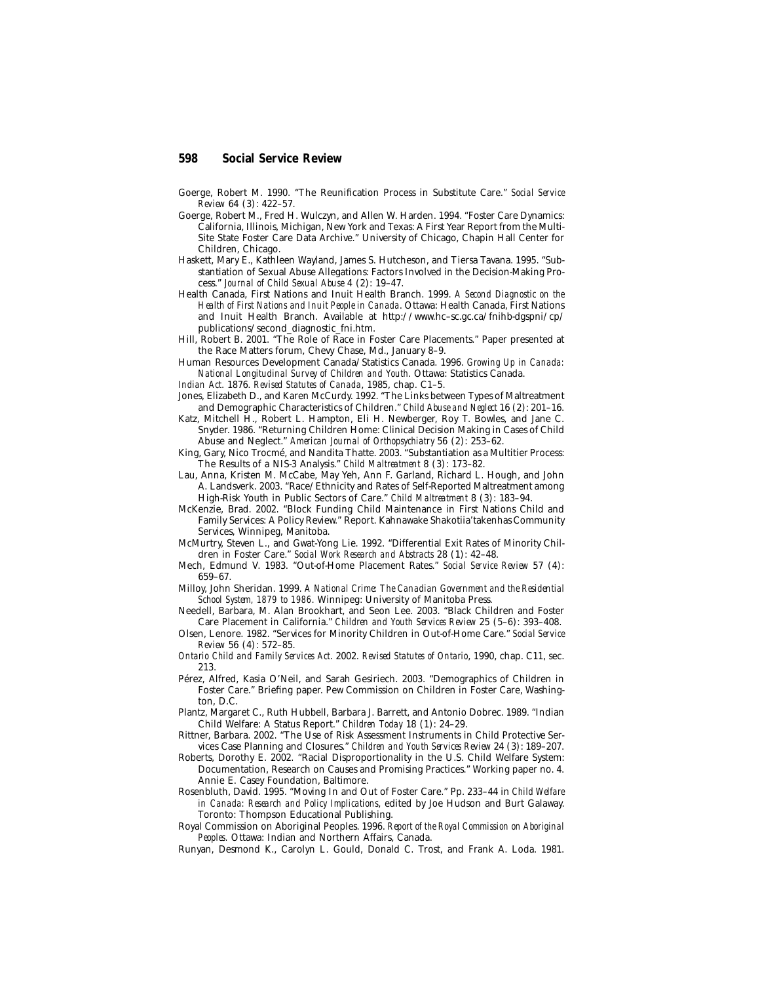- Goerge, Robert M. 1990. "The Reunification Process in Substitute Care." *Social Service Review* 64 (3): 422–57.
- Goerge, Robert M., Fred H. Wulczyn, and Allen W. Harden. 1994. "Foster Care Dynamics: California, Illinois, Michigan, New York and Texas: A First Year Report from the Multi-Site State Foster Care Data Archive." University of Chicago, Chapin Hall Center for Children, Chicago.
- Haskett, Mary E., Kathleen Wayland, James S. Hutcheson, and Tiersa Tavana. 1995. "Substantiation of Sexual Abuse Allegations: Factors Involved in the Decision-Making Process." *Journal of Child Sexual Abuse* 4 (2): 19–47.
- Health Canada, First Nations and Inuit Health Branch. 1999. *A Second Diagnostic on the Health of First Nations and Inuit People in Canada*. Ottawa: Health Canada, First Nations and Inuit Health Branch. Available at http://www.hc–sc.gc.ca/fnihb-dgspni/cp/ publications/second\_diagnostic\_fni.htm.
- Hill, Robert B. 2001. "The Role of Race in Foster Care Placements." Paper presented at the Race Matters forum, Chevy Chase, Md., January 8–9.
- Human Resources Development Canada/Statistics Canada. 1996. *Growing Up in Canada: National Longitudinal Survey of Children and Youth*. Ottawa: Statistics Canada.
- *Indian Act*. 1876. *Revised Statutes of Canada*, 1985, chap. C1–5.
- Jones, Elizabeth D., and Karen McCurdy. 1992. "The Links between Types of Maltreatment and Demographic Characteristics of Children." *Child Abuse and Neglect* 16 (2): 201–16.
- Katz, Mitchell H., Robert L. Hampton, Eli H. Newberger, Roy T. Bowles, and Jane C. Snyder. 1986. "Returning Children Home: Clinical Decision Making in Cases of Child Abuse and Neglect." *American Journal of Orthopsychiatry* 56 (2): 253–62.
- King, Gary, Nico Trocmé, and Nandita Thatte. 2003. "Substantiation as a Multitier Process: The Results of a NIS-3 Analysis." *Child Maltreatment* 8 (3): 173–82.
- Lau, Anna, Kristen M. McCabe, May Yeh, Ann F. Garland, Richard L. Hough, and John A. Landsverk. 2003. "Race/Ethnicity and Rates of Self-Reported Maltreatment among High-Risk Youth in Public Sectors of Care." *Child Maltreatment* 8 (3): 183–94.
- McKenzie, Brad. 2002. "Block Funding Child Maintenance in First Nations Child and Family Services: A Policy Review." Report. Kahnawake Shakotiia'takenhas Community Services, Winnipeg, Manitoba.
- McMurtry, Steven L., and Gwat-Yong Lie. 1992. "Differential Exit Rates of Minority Children in Foster Care." *Social Work Research and Abstracts* 28 (1): 42–48.
- Mech, Edmund V. 1983. "Out-of-Home Placement Rates." *Social Service Review* 57 (4): 659–67.
- Milloy, John Sheridan. 1999. *A National Crime: The Canadian Government and the Residential School System, 1879 to 1986*. Winnipeg: University of Manitoba Press.
- Needell, Barbara, M. Alan Brookhart, and Seon Lee. 2003. "Black Children and Foster Care Placement in California." *Children and Youth Services Review* 25 (5–6): 393–408.
- Olsen, Lenore. 1982. "Services for Minority Children in Out-of-Home Care." *Social Service Review* 56 (4): 572–85.
- *Ontario Child and Family Services Act*. 2002. *Revised Statutes of Ontario*, 1990, chap. C11, sec. 213.
- Pérez, Alfred, Kasia O'Neil, and Sarah Gesiriech. 2003. "Demographics of Children in Foster Care." Briefing paper. Pew Commission on Children in Foster Care, Washington, D.C.
- Plantz, Margaret C., Ruth Hubbell, Barbara J. Barrett, and Antonio Dobrec. 1989. "Indian Child Welfare: A Status Report." *Children Today* 18 (1): 24–29.
- Rittner, Barbara. 2002. "The Use of Risk Assessment Instruments in Child Protective Services Case Planning and Closures." *Children and Youth Services Review* 24 (3): 189–207.
- Roberts, Dorothy E. 2002. "Racial Disproportionality in the U.S. Child Welfare System: Documentation, Research on Causes and Promising Practices." Working paper no. 4. Annie E. Casey Foundation, Baltimore.
- Rosenbluth, David. 1995. "Moving In and Out of Foster Care." Pp. 233–44 in *Child Welfare in Canada: Research and Policy Implications*, edited by Joe Hudson and Burt Galaway. Toronto: Thompson Educational Publishing.
- Royal Commission on Aboriginal Peoples. 1996. *Report of the Royal Commission on Aboriginal Peoples.* Ottawa: Indian and Northern Affairs, Canada.
- Runyan, Desmond K., Carolyn L. Gould, Donald C. Trost, and Frank A. Loda. 1981.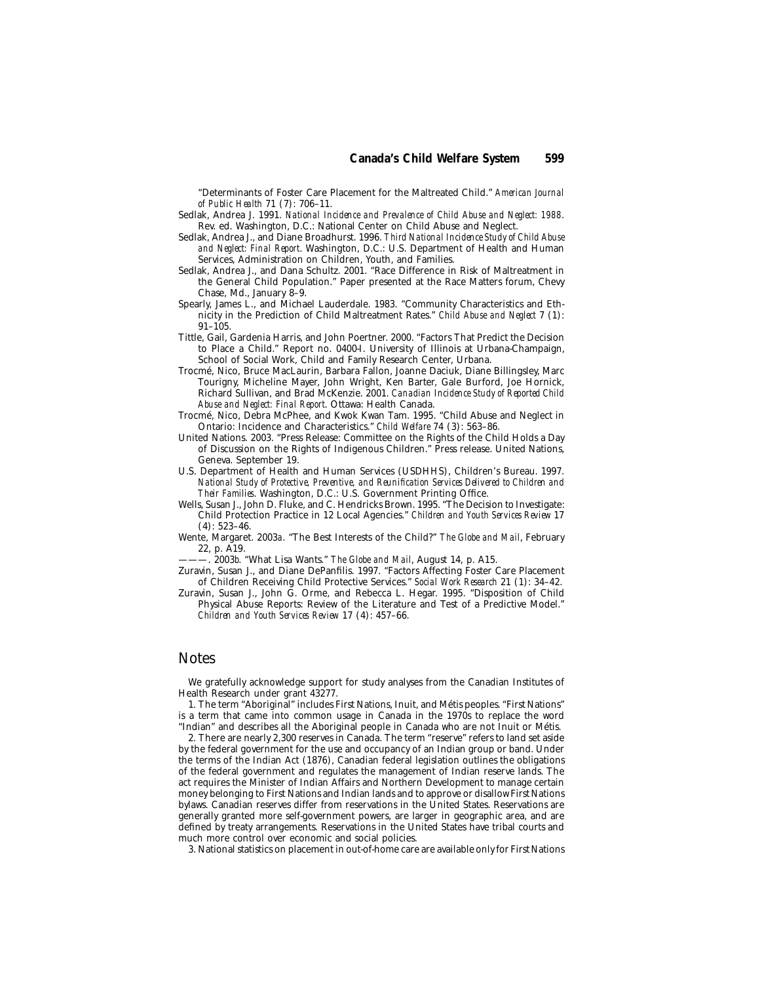"Determinants of Foster Care Placement for the Maltreated Child." *American Journal of Public Health* 71 (7): 706–11.

- Sedlak, Andrea J. 1991. *National Incidence and Prevalence of Child Abuse and Neglect: 1988*. Rev. ed. Washington, D.C.: National Center on Child Abuse and Neglect.
- Sedlak, Andrea J., and Diane Broadhurst. 1996. *Third National Incidence Study of Child Abuse and Neglect: Final Report*. Washington, D.C.: U.S. Department of Health and Human Services, Administration on Children, Youth, and Families.
- Sedlak, Andrea J., and Dana Schultz. 2001. "Race Difference in Risk of Maltreatment in the General Child Population." Paper presented at the Race Matters forum, Chevy Chase, Md., January 8–9.
- Spearly, James L., and Michael Lauderdale. 1983. "Community Characteristics and Ethnicity in the Prediction of Child Maltreatment Rates." *Child Abuse and Neglect* 7 (1): 91–105.
- Tittle, Gail, Gardenia Harris, and John Poertner. 2000. "Factors That Predict the Decision to Place a Child." Report no. 0400-I. University of Illinois at Urbana-Champaign, School of Social Work, Child and Family Research Center, Urbana.
- Trocme´, Nico, Bruce MacLaurin, Barbara Fallon, Joanne Daciuk, Diane Billingsley, Marc Tourigny, Micheline Mayer, John Wright, Ken Barter, Gale Burford, Joe Hornick, Richard Sullivan, and Brad McKenzie. 2001. *Canadian Incidence Study of Reported Child Abuse and Neglect: Final Report*. Ottawa: Health Canada.
- Trocmé, Nico, Debra McPhee, and Kwok Kwan Tam. 1995. "Child Abuse and Neglect in Ontario: Incidence and Characteristics." *Child Welfare* 74 (3): 563–86.
- United Nations. 2003. "Press Release: Committee on the Rights of the Child Holds a Day of Discussion on the Rights of Indigenous Children." Press release. United Nations, Geneva. September 19.
- U.S. Department of Health and Human Services (USDHHS), Children's Bureau. 1997. *National Study of Protective, Preventive, and Reunification Services Delivered to Children and Their Families*. Washington, D.C.: U.S. Government Printing Office.
- Wells, Susan J., John D. Fluke, and C. Hendricks Brown. 1995. "The Decision to Investigate: Child Protection Practice in 12 Local Agencies." *Children and Youth Services Review* 17 (4): 523–46.
- Wente, Margaret. 2003*a*. "The Best Interests of the Child?" *The Globe and Mail*, February 22, p. A19.

———. 2003*b*. "What Lisa Wants." *The Globe and Mail*, August 14, p. A15.

Zuravin, Susan J., and Diane DePanfilis. 1997. "Factors Affecting Foster Care Placement of Children Receiving Child Protective Services." *Social Work Research* 21 (1): 34–42.

Zuravin, Susan J., John G. Orme, and Rebecca L. Hegar. 1995. "Disposition of Child Physical Abuse Reports: Review of the Literature and Test of a Predictive Model." *Children and Youth Services Review* 17 (4): 457–66.

#### Notes

We gratefully acknowledge support for study analyses from the Canadian Institutes of Health Research under grant 43277.

1. The term "Aboriginal" includes First Nations, Inuit, and Métis peoples. "First Nations" is a term that came into common usage in Canada in the 1970s to replace the word "Indian" and describes all the Aboriginal people in Canada who are not Inuit or Métis.

2. There are nearly 2,300 reserves in Canada. The term "reserve" refers to land set aside by the federal government for the use and occupancy of an Indian group or band. Under the terms of the Indian Act (1876), Canadian federal legislation outlines the obligations of the federal government and regulates the management of Indian reserve lands. The act requires the Minister of Indian Affairs and Northern Development to manage certain money belonging to First Nations and Indian lands and to approve or disallow First Nations bylaws. Canadian reserves differ from reservations in the United States. Reservations are generally granted more self-government powers, are larger in geographic area, and are defined by treaty arrangements. Reservations in the United States have tribal courts and much more control over economic and social policies.

3. National statistics on placement in out-of-home care are available only for First Nations